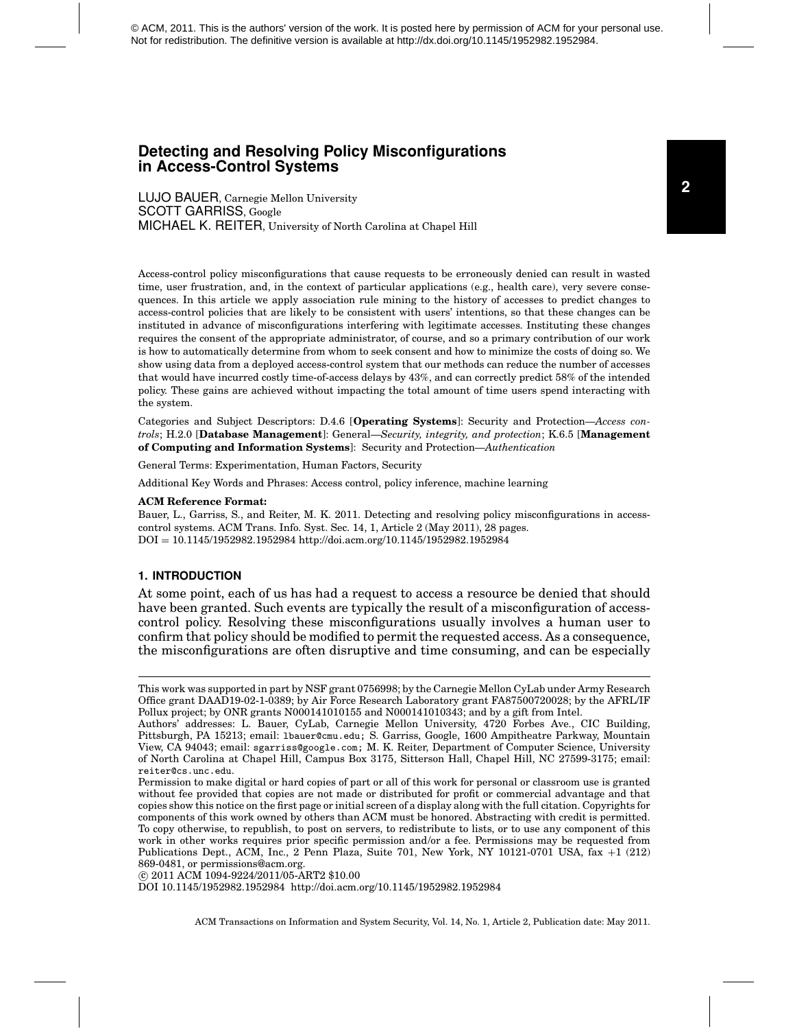# **Detecting and Resolving Policy Misconfigurations in Access-Control Systems**

LUJO BAUER, Carnegie Mellon University SCOTT GARRISS, Google MICHAEL K. REITER, University of North Carolina at Chapel Hill

Access-control policy misconfigurations that cause requests to be erroneously denied can result in wasted time, user frustration, and, in the context of particular applications (e.g., health care), very severe consequences. In this article we apply association rule mining to the history of accesses to predict changes to access-control policies that are likely to be consistent with users' intentions, so that these changes can be instituted in advance of misconfigurations interfering with legitimate accesses. Instituting these changes requires the consent of the appropriate administrator, of course, and so a primary contribution of our work is how to automatically determine from whom to seek consent and how to minimize the costs of doing so. We show using data from a deployed access-control system that our methods can reduce the number of accesses that would have incurred costly time-of-access delays by 43%, and can correctly predict 58% of the intended policy. These gains are achieved without impacting the total amount of time users spend interacting with the system.

Categories and Subject Descriptors: D.4.6 [**Operating Systems**]: Security and Protection—*Access controls*; H.2.0 [**Database Management**]: General—*Security, integrity, and protection*; K.6.5 [**Management of Computing and Information Systems**]: Security and Protection—*Authentication*

General Terms: Experimentation, Human Factors, Security

Additional Key Words and Phrases: Access control, policy inference, machine learning

#### **ACM Reference Format:**

Bauer, L., Garriss, S., and Reiter, M. K. 2011. Detecting and resolving policy misconfigurations in accesscontrol systems. ACM Trans. Info. Syst. Sec. 14, 1, Article 2 (May 2011), 28 pages. DOI = 10.1145/1952982.1952984 http://doi.acm.org/10.1145/1952982.1952984

#### **1. INTRODUCTION**

At some point, each of us has had a request to access a resource be denied that should have been granted. Such events are typically the result of a misconfiguration of accesscontrol policy. Resolving these misconfigurations usually involves a human user to confirm that policy should be modified to permit the requested access. As a consequence, the misconfigurations are often disruptive and time consuming, and can be especially

-c 2011 ACM 1094-9224/2011/05-ART2 \$10.00

DOI 10.1145/1952982.1952984 http://doi.acm.org/10.1145/1952982.1952984

This work was supported in part by NSF grant 0756998; by the Carnegie Mellon CyLab under Army Research Office grant DAAD19-02-1-0389; by Air Force Research Laboratory grant FA87500720028; by the AFRL/IF Pollux project; by ONR grants N000141010155 and N000141010343; and by a gift from Intel.

Authors' addresses: L. Bauer, CyLab, Carnegie Mellon University, 4720 Forbes Ave., CIC Building, Pittsburgh, PA 15213; email: lbauer@cmu.edu; S. Garriss, Google, 1600 Ampitheatre Parkway, Mountain View, CA 94043; email: sgarriss@google.com; M. K. Reiter, Department of Computer Science, University of North Carolina at Chapel Hill, Campus Box 3175, Sitterson Hall, Chapel Hill, NC 27599-3175; email: reiter@cs.unc.edu.

Permission to make digital or hard copies of part or all of this work for personal or classroom use is granted without fee provided that copies are not made or distributed for profit or commercial advantage and that copies show this notice on the first page or initial screen of a display along with the full citation. Copyrights for components of this work owned by others than ACM must be honored. Abstracting with credit is permitted. To copy otherwise, to republish, to post on servers, to redistribute to lists, or to use any component of this work in other works requires prior specific permission and/or a fee. Permissions may be requested from Publications Dept., ACM, Inc., 2 Penn Plaza, Suite 701, New York, NY 10121-0701 USA, fax +1 (212) 869-0481, or permissions@acm.org.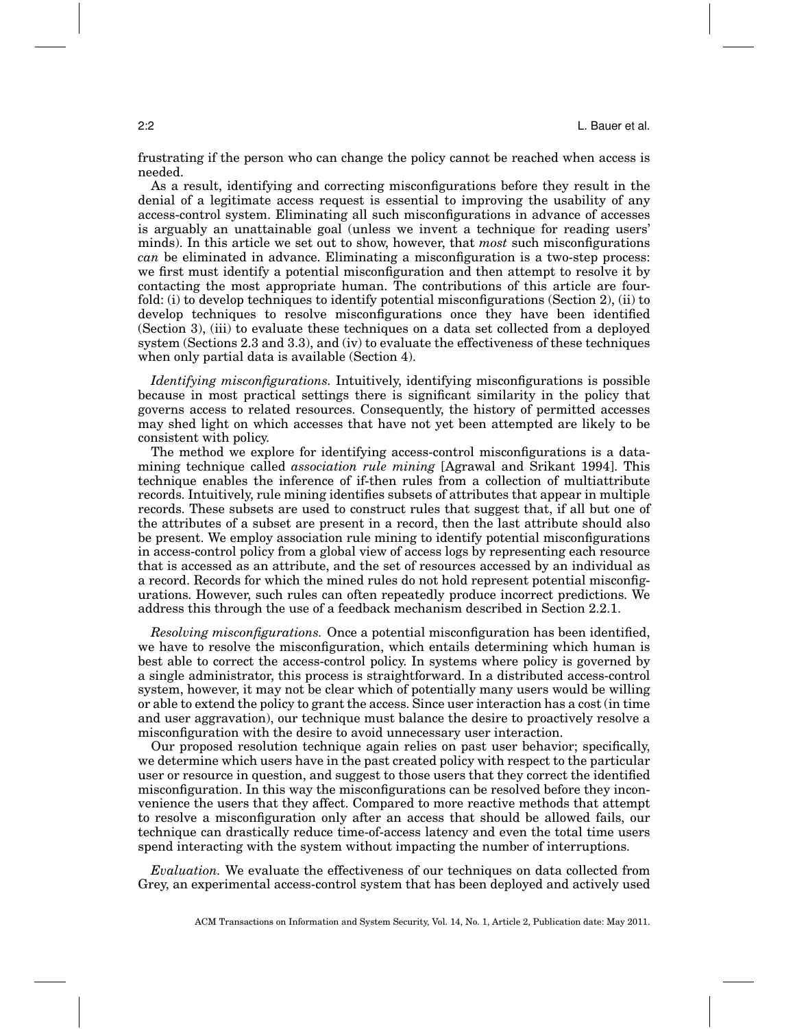frustrating if the person who can change the policy cannot be reached when access is needed.

As a result, identifying and correcting misconfigurations before they result in the denial of a legitimate access request is essential to improving the usability of any access-control system. Eliminating all such misconfigurations in advance of accesses is arguably an unattainable goal (unless we invent a technique for reading users' minds). In this article we set out to show, however, that *most* such misconfigurations *can* be eliminated in advance. Eliminating a misconfiguration is a two-step process: we first must identify a potential misconfiguration and then attempt to resolve it by contacting the most appropriate human. The contributions of this article are fourfold: (i) to develop techniques to identify potential misconfigurations (Section 2), (ii) to develop techniques to resolve misconfigurations once they have been identified (Section 3), (iii) to evaluate these techniques on a data set collected from a deployed system (Sections 2.3 and 3.3), and (iv) to evaluate the effectiveness of these techniques when only partial data is available (Section 4).

*Identifying misconfigurations.* Intuitively, identifying misconfigurations is possible because in most practical settings there is significant similarity in the policy that governs access to related resources. Consequently, the history of permitted accesses may shed light on which accesses that have not yet been attempted are likely to be consistent with policy.

The method we explore for identifying access-control misconfigurations is a datamining technique called *association rule mining* [Agrawal and Srikant 1994]. This technique enables the inference of if-then rules from a collection of multiattribute records. Intuitively, rule mining identifies subsets of attributes that appear in multiple records. These subsets are used to construct rules that suggest that, if all but one of the attributes of a subset are present in a record, then the last attribute should also be present. We employ association rule mining to identify potential misconfigurations in access-control policy from a global view of access logs by representing each resource that is accessed as an attribute, and the set of resources accessed by an individual as a record. Records for which the mined rules do not hold represent potential misconfigurations. However, such rules can often repeatedly produce incorrect predictions. We address this through the use of a feedback mechanism described in Section 2.2.1.

*Resolving misconfigurations.* Once a potential misconfiguration has been identified, we have to resolve the misconfiguration, which entails determining which human is best able to correct the access-control policy. In systems where policy is governed by a single administrator, this process is straightforward. In a distributed access-control system, however, it may not be clear which of potentially many users would be willing or able to extend the policy to grant the access. Since user interaction has a cost (in time and user aggravation), our technique must balance the desire to proactively resolve a misconfiguration with the desire to avoid unnecessary user interaction.

Our proposed resolution technique again relies on past user behavior; specifically, we determine which users have in the past created policy with respect to the particular user or resource in question, and suggest to those users that they correct the identified misconfiguration. In this way the misconfigurations can be resolved before they inconvenience the users that they affect. Compared to more reactive methods that attempt to resolve a misconfiguration only after an access that should be allowed fails, our technique can drastically reduce time-of-access latency and even the total time users spend interacting with the system without impacting the number of interruptions.

*Evaluation.* We evaluate the effectiveness of our techniques on data collected from Grey, an experimental access-control system that has been deployed and actively used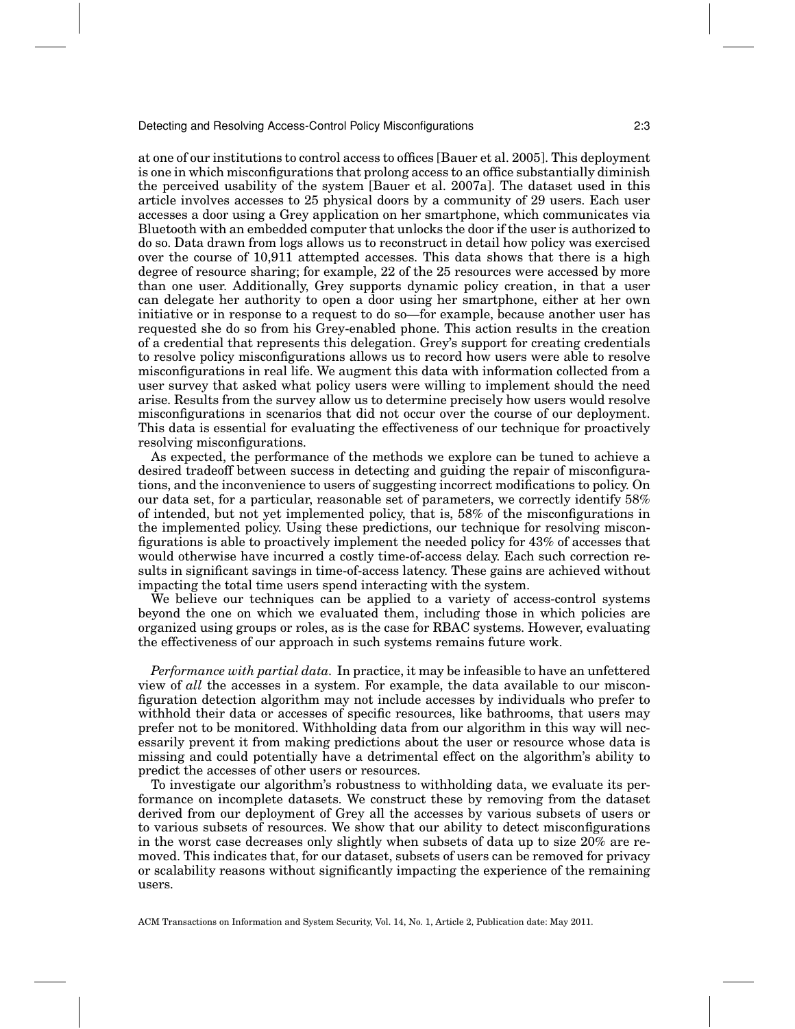at one of our institutions to control access to offices [Bauer et al. 2005]. This deployment is one in which misconfigurations that prolong access to an office substantially diminish the perceived usability of the system [Bauer et al. 2007a]. The dataset used in this article involves accesses to 25 physical doors by a community of 29 users. Each user accesses a door using a Grey application on her smartphone, which communicates via Bluetooth with an embedded computer that unlocks the door if the user is authorized to do so. Data drawn from logs allows us to reconstruct in detail how policy was exercised over the course of 10,911 attempted accesses. This data shows that there is a high degree of resource sharing; for example, 22 of the 25 resources were accessed by more than one user. Additionally, Grey supports dynamic policy creation, in that a user can delegate her authority to open a door using her smartphone, either at her own initiative or in response to a request to do so—for example, because another user has requested she do so from his Grey-enabled phone. This action results in the creation of a credential that represents this delegation. Grey's support for creating credentials to resolve policy misconfigurations allows us to record how users were able to resolve misconfigurations in real life. We augment this data with information collected from a user survey that asked what policy users were willing to implement should the need arise. Results from the survey allow us to determine precisely how users would resolve misconfigurations in scenarios that did not occur over the course of our deployment. This data is essential for evaluating the effectiveness of our technique for proactively resolving misconfigurations.

As expected, the performance of the methods we explore can be tuned to achieve a desired tradeoff between success in detecting and guiding the repair of misconfigurations, and the inconvenience to users of suggesting incorrect modifications to policy. On our data set, for a particular, reasonable set of parameters, we correctly identify 58% of intended, but not yet implemented policy, that is, 58% of the misconfigurations in the implemented policy. Using these predictions, our technique for resolving misconfigurations is able to proactively implement the needed policy for 43% of accesses that would otherwise have incurred a costly time-of-access delay. Each such correction results in significant savings in time-of-access latency. These gains are achieved without impacting the total time users spend interacting with the system.

We believe our techniques can be applied to a variety of access-control systems beyond the one on which we evaluated them, including those in which policies are organized using groups or roles, as is the case for RBAC systems. However, evaluating the effectiveness of our approach in such systems remains future work.

*Performance with partial data.* In practice, it may be infeasible to have an unfettered view of *all* the accesses in a system. For example, the data available to our misconfiguration detection algorithm may not include accesses by individuals who prefer to withhold their data or accesses of specific resources, like bathrooms, that users may prefer not to be monitored. Withholding data from our algorithm in this way will necessarily prevent it from making predictions about the user or resource whose data is missing and could potentially have a detrimental effect on the algorithm's ability to predict the accesses of other users or resources.

To investigate our algorithm's robustness to withholding data, we evaluate its performance on incomplete datasets. We construct these by removing from the dataset derived from our deployment of Grey all the accesses by various subsets of users or to various subsets of resources. We show that our ability to detect misconfigurations in the worst case decreases only slightly when subsets of data up to size 20% are removed. This indicates that, for our dataset, subsets of users can be removed for privacy or scalability reasons without significantly impacting the experience of the remaining users.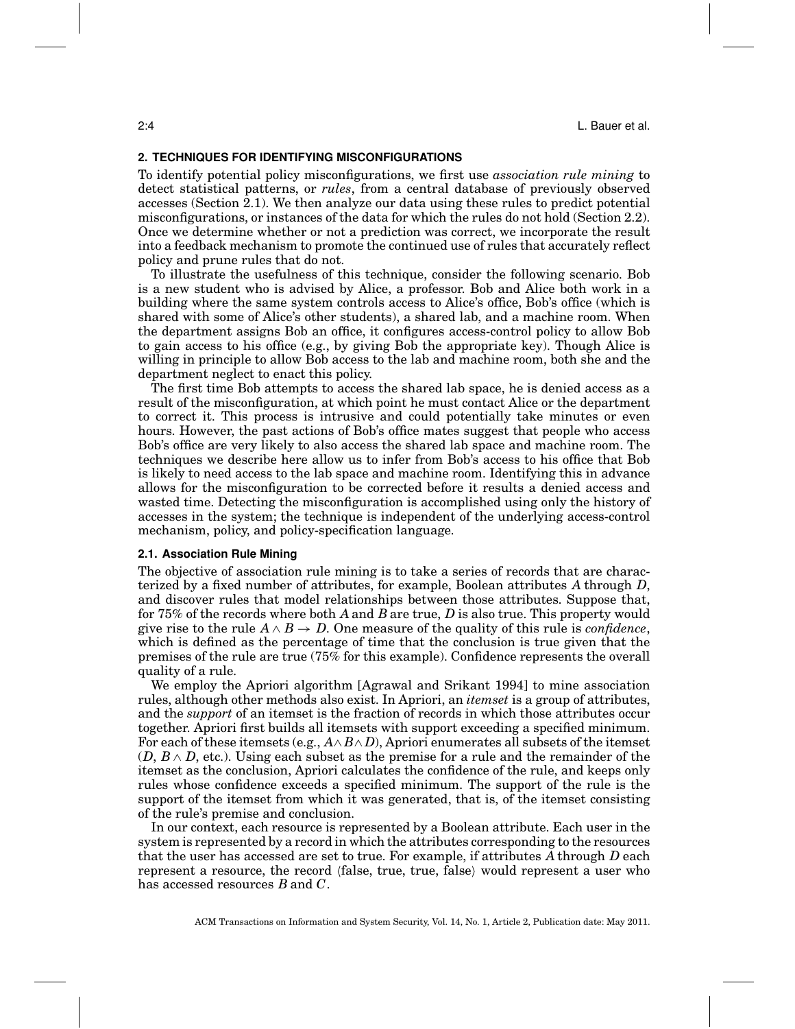## **2. TECHNIQUES FOR IDENTIFYING MISCONFIGURATIONS**

To identify potential policy misconfigurations, we first use *association rule mining* to detect statistical patterns, or *rules*, from a central database of previously observed accesses (Section 2.1). We then analyze our data using these rules to predict potential misconfigurations, or instances of the data for which the rules do not hold (Section 2.2). Once we determine whether or not a prediction was correct, we incorporate the result into a feedback mechanism to promote the continued use of rules that accurately reflect policy and prune rules that do not.

To illustrate the usefulness of this technique, consider the following scenario. Bob is a new student who is advised by Alice, a professor. Bob and Alice both work in a building where the same system controls access to Alice's office, Bob's office (which is shared with some of Alice's other students), a shared lab, and a machine room. When the department assigns Bob an office, it configures access-control policy to allow Bob to gain access to his office (e.g., by giving Bob the appropriate key). Though Alice is willing in principle to allow Bob access to the lab and machine room, both she and the department neglect to enact this policy.

The first time Bob attempts to access the shared lab space, he is denied access as a result of the misconfiguration, at which point he must contact Alice or the department to correct it. This process is intrusive and could potentially take minutes or even hours. However, the past actions of Bob's office mates suggest that people who access Bob's office are very likely to also access the shared lab space and machine room. The techniques we describe here allow us to infer from Bob's access to his office that Bob is likely to need access to the lab space and machine room. Identifying this in advance allows for the misconfiguration to be corrected before it results a denied access and wasted time. Detecting the misconfiguration is accomplished using only the history of accesses in the system; the technique is independent of the underlying access-control mechanism, policy, and policy-specification language.

## **2.1. Association Rule Mining**

The objective of association rule mining is to take a series of records that are characterized by a fixed number of attributes, for example, Boolean attributes *A* through *D*, and discover rules that model relationships between those attributes. Suppose that, for 75% of the records where both *A* and *B* are true, *D* is also true. This property would give rise to the rule  $A \wedge B \rightarrow D$ . One measure of the quality of this rule is *confidence*, which is defined as the percentage of time that the conclusion is true given that the premises of the rule are true (75% for this example). Confidence represents the overall quality of a rule.

We employ the Apriori algorithm [Agrawal and Srikant 1994] to mine association rules, although other methods also exist. In Apriori, an *itemset* is a group of attributes, and the *support* of an itemset is the fraction of records in which those attributes occur together. Apriori first builds all itemsets with support exceeding a specified minimum. For each of these itemsets (e.g.,  $A \wedge B \wedge D$ ), Apriori enumerates all subsets of the itemset  $(D, B \wedge D,$  etc.). Using each subset as the premise for a rule and the remainder of the itemset as the conclusion, Apriori calculates the confidence of the rule, and keeps only rules whose confidence exceeds a specified minimum. The support of the rule is the support of the itemset from which it was generated, that is, of the itemset consisting of the rule's premise and conclusion.

In our context, each resource is represented by a Boolean attribute. Each user in the system is represented by a record in which the attributes corresponding to the resources that the user has accessed are set to true. For example, if attributes *A* through *D* each represent a resource, the record  $\langle false, true, true, false \rangle$  would represent a user who has accessed resources *B* and *C*.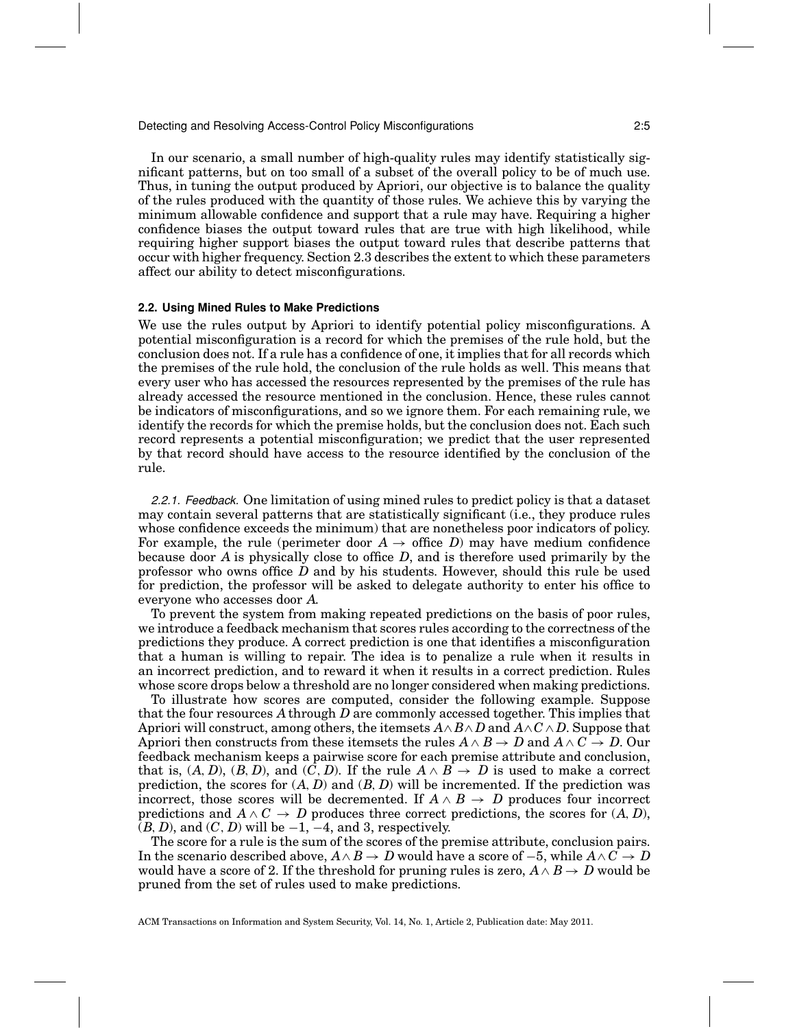In our scenario, a small number of high-quality rules may identify statistically significant patterns, but on too small of a subset of the overall policy to be of much use. Thus, in tuning the output produced by Apriori, our objective is to balance the quality of the rules produced with the quantity of those rules. We achieve this by varying the minimum allowable confidence and support that a rule may have. Requiring a higher confidence biases the output toward rules that are true with high likelihood, while requiring higher support biases the output toward rules that describe patterns that occur with higher frequency. Section 2.3 describes the extent to which these parameters affect our ability to detect misconfigurations.

#### **2.2. Using Mined Rules to Make Predictions**

We use the rules output by Apriori to identify potential policy misconfigurations. A potential misconfiguration is a record for which the premises of the rule hold, but the conclusion does not. If a rule has a confidence of one, it implies that for all records which the premises of the rule hold, the conclusion of the rule holds as well. This means that every user who has accessed the resources represented by the premises of the rule has already accessed the resource mentioned in the conclusion. Hence, these rules cannot be indicators of misconfigurations, and so we ignore them. For each remaining rule, we identify the records for which the premise holds, but the conclusion does not. Each such record represents a potential misconfiguration; we predict that the user represented by that record should have access to the resource identified by the conclusion of the rule.

2.2.1. Feedback. One limitation of using mined rules to predict policy is that a dataset may contain several patterns that are statistically significant (i.e., they produce rules whose confidence exceeds the minimum) that are nonetheless poor indicators of policy. For example, the rule (perimeter door  $A \rightarrow$  office *D*) may have medium confidence because door *A* is physically close to office *D*, and is therefore used primarily by the professor who owns office *D* and by his students. However, should this rule be used for prediction, the professor will be asked to delegate authority to enter his office to everyone who accesses door *A*.

To prevent the system from making repeated predictions on the basis of poor rules, we introduce a feedback mechanism that scores rules according to the correctness of the predictions they produce. A correct prediction is one that identifies a misconfiguration that a human is willing to repair. The idea is to penalize a rule when it results in an incorrect prediction, and to reward it when it results in a correct prediction. Rules whose score drops below a threshold are no longer considered when making predictions.

To illustrate how scores are computed, consider the following example. Suppose that the four resources *A* through *D* are commonly accessed together. This implies that Apriori will construct, among others, the itemsets *A*∧ *B*∧ *D* and *A*∧*C* ∧ *D*. Suppose that Apriori then constructs from these itemsets the rules  $A \wedge B \rightarrow D$  and  $A \wedge C \rightarrow D$ . Our feedback mechanism keeps a pairwise score for each premise attribute and conclusion, that is,  $(A, D)$ ,  $(B, D)$ , and  $(C, D)$ . If the rule  $A \wedge B \rightarrow D$  is used to make a correct prediction, the scores for  $(A, D)$  and  $(B, D)$  will be incremented. If the prediction was incorrect, those scores will be decremented. If  $A \wedge B \rightarrow D$  produces four incorrect predictions and  $A \wedge C \rightarrow D$  produces three correct predictions, the scores for  $(A, D)$ , (*B*, *D*), and (*C*, *D*) will be −1, −4, and 3, respectively.

The score for a rule is the sum of the scores of the premise attribute, conclusion pairs. In the scenario described above,  $A \wedge B \rightarrow D$  would have a score of  $-5$ , while  $A \wedge C \rightarrow D$ would have a score of 2. If the threshold for pruning rules is zero,  $A \wedge B \rightarrow D$  would be pruned from the set of rules used to make predictions.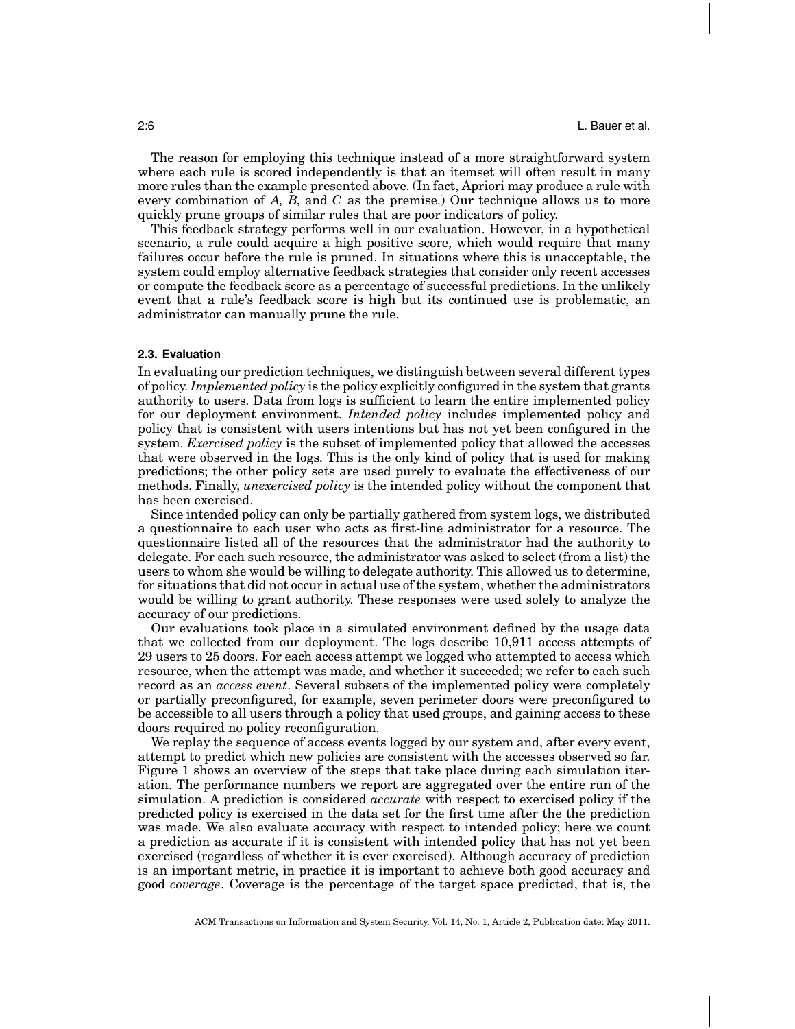The reason for employing this technique instead of a more straightforward system where each rule is scored independently is that an itemset will often result in many more rules than the example presented above. (In fact, Apriori may produce a rule with every combination of  $A$ ,  $\overline{B}$ , and  $C$  as the premise.) Our technique allows us to more quickly prune groups of similar rules that are poor indicators of policy.

This feedback strategy performs well in our evaluation. However, in a hypothetical scenario, a rule could acquire a high positive score, which would require that many failures occur before the rule is pruned. In situations where this is unacceptable, the system could employ alternative feedback strategies that consider only recent accesses or compute the feedback score as a percentage of successful predictions. In the unlikely event that a rule's feedback score is high but its continued use is problematic, an administrator can manually prune the rule.

#### **2.3. Evaluation**

In evaluating our prediction techniques, we distinguish between several different types of policy. *Implemented policy* is the policy explicitly configured in the system that grants authority to users. Data from logs is sufficient to learn the entire implemented policy for our deployment environment. *Intended policy* includes implemented policy and policy that is consistent with users intentions but has not yet been configured in the system. *Exercised policy* is the subset of implemented policy that allowed the accesses that were observed in the logs. This is the only kind of policy that is used for making predictions; the other policy sets are used purely to evaluate the effectiveness of our methods. Finally, *unexercised policy* is the intended policy without the component that has been exercised.

Since intended policy can only be partially gathered from system logs, we distributed a questionnaire to each user who acts as first-line administrator for a resource. The questionnaire listed all of the resources that the administrator had the authority to delegate. For each such resource, the administrator was asked to select (from a list) the users to whom she would be willing to delegate authority. This allowed us to determine, for situations that did not occur in actual use of the system, whether the administrators would be willing to grant authority. These responses were used solely to analyze the accuracy of our predictions.

Our evaluations took place in a simulated environment defined by the usage data that we collected from our deployment. The logs describe 10,911 access attempts of 29 users to 25 doors. For each access attempt we logged who attempted to access which resource, when the attempt was made, and whether it succeeded; we refer to each such record as an *access event*. Several subsets of the implemented policy were completely or partially preconfigured, for example, seven perimeter doors were preconfigured to be accessible to all users through a policy that used groups, and gaining access to these doors required no policy reconfiguration.

We replay the sequence of access events logged by our system and, after every event, attempt to predict which new policies are consistent with the accesses observed so far. Figure 1 shows an overview of the steps that take place during each simulation iteration. The performance numbers we report are aggregated over the entire run of the simulation. A prediction is considered *accurate* with respect to exercised policy if the predicted policy is exercised in the data set for the first time after the the prediction was made. We also evaluate accuracy with respect to intended policy; here we count a prediction as accurate if it is consistent with intended policy that has not yet been exercised (regardless of whether it is ever exercised). Although accuracy of prediction is an important metric, in practice it is important to achieve both good accuracy and good *coverage*. Coverage is the percentage of the target space predicted, that is, the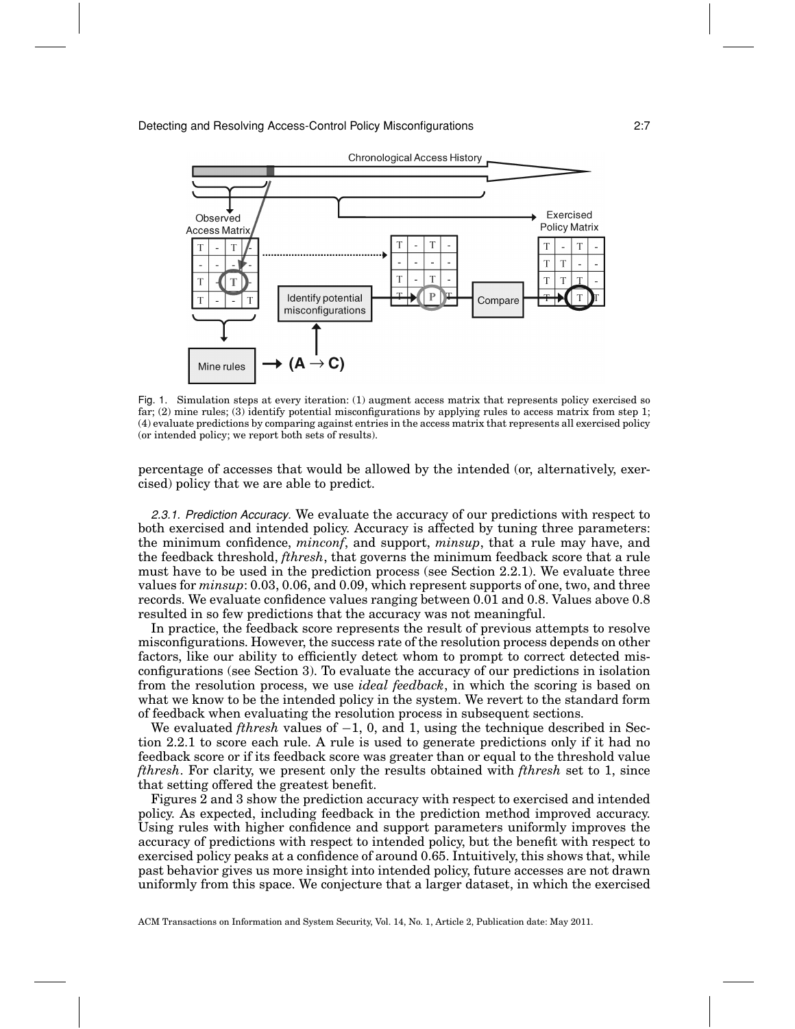

Fig. 1. Simulation steps at every iteration: (1) augment access matrix that represents policy exercised so far; (2) mine rules; (3) identify potential misconfigurations by applying rules to access matrix from step 1; (4) evaluate predictions by comparing against entries in the access matrix that represents all exercised policy (or intended policy; we report both sets of results).

percentage of accesses that would be allowed by the intended (or, alternatively, exercised) policy that we are able to predict.

2.3.1. Prediction Accuracy. We evaluate the accuracy of our predictions with respect to both exercised and intended policy. Accuracy is affected by tuning three parameters: the minimum confidence, *minconf*, and support, *minsup*, that a rule may have, and the feedback threshold, *fthresh*, that governs the minimum feedback score that a rule must have to be used in the prediction process (see Section 2.2.1). We evaluate three values for *minsup*: 0.03, 0.06, and 0.09, which represent supports of one, two, and three records. We evaluate confidence values ranging between 0.01 and 0.8. Values above 0.8 resulted in so few predictions that the accuracy was not meaningful.

In practice, the feedback score represents the result of previous attempts to resolve misconfigurations. However, the success rate of the resolution process depends on other factors, like our ability to efficiently detect whom to prompt to correct detected misconfigurations (see Section 3). To evaluate the accuracy of our predictions in isolation from the resolution process, we use *ideal feedback*, in which the scoring is based on what we know to be the intended policy in the system. We revert to the standard form of feedback when evaluating the resolution process in subsequent sections.

We evaluated *fthresh* values of −1, 0, and 1, using the technique described in Section 2.2.1 to score each rule. A rule is used to generate predictions only if it had no feedback score or if its feedback score was greater than or equal to the threshold value *fthresh*. For clarity, we present only the results obtained with *fthresh* set to 1, since that setting offered the greatest benefit.

Figures 2 and 3 show the prediction accuracy with respect to exercised and intended policy. As expected, including feedback in the prediction method improved accuracy. Using rules with higher confidence and support parameters uniformly improves the accuracy of predictions with respect to intended policy, but the benefit with respect to exercised policy peaks at a confidence of around 0.65. Intuitively, this shows that, while past behavior gives us more insight into intended policy, future accesses are not drawn uniformly from this space. We conjecture that a larger dataset, in which the exercised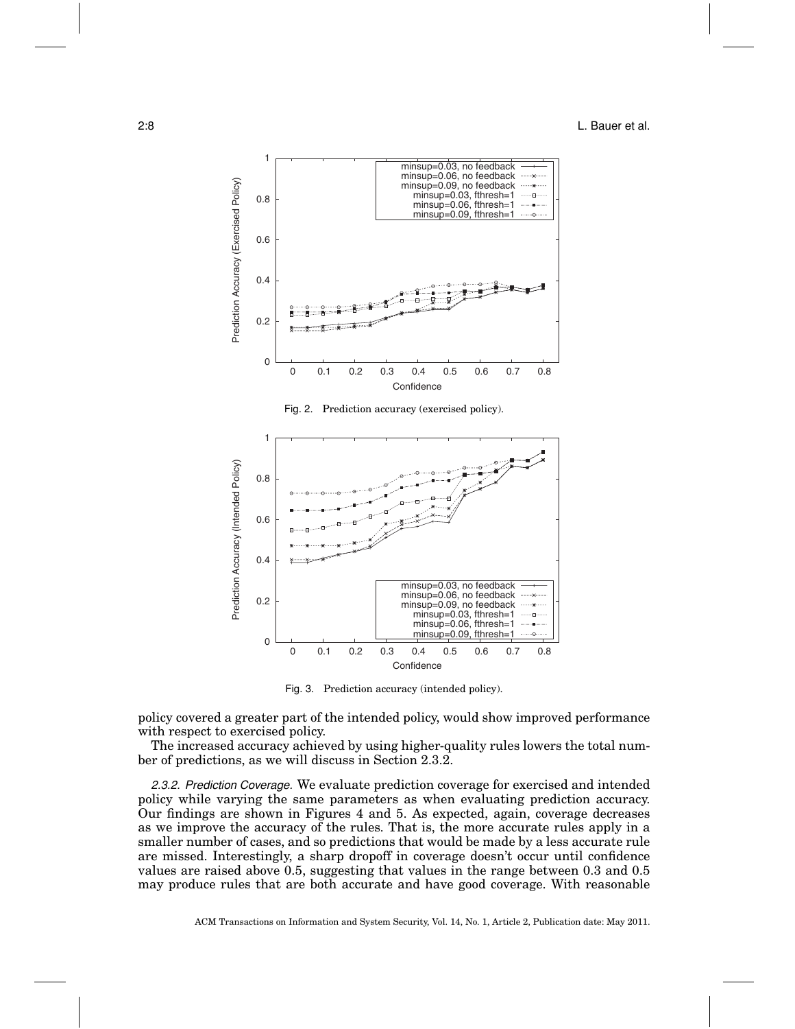## 2:8 L. Bauer et al.



Fig. 2. Prediction accuracy (exercised policy).



Fig. 3. Prediction accuracy (intended policy).

policy covered a greater part of the intended policy, would show improved performance with respect to exercised policy.

The increased accuracy achieved by using higher-quality rules lowers the total number of predictions, as we will discuss in Section 2.3.2.

2.3.2. Prediction Coverage. We evaluate prediction coverage for exercised and intended policy while varying the same parameters as when evaluating prediction accuracy. Our findings are shown in Figures 4 and 5. As expected, again, coverage decreases as we improve the accuracy of the rules. That is, the more accurate rules apply in a smaller number of cases, and so predictions that would be made by a less accurate rule are missed. Interestingly, a sharp dropoff in coverage doesn't occur until confidence values are raised above 0.5, suggesting that values in the range between 0.3 and 0.5 may produce rules that are both accurate and have good coverage. With reasonable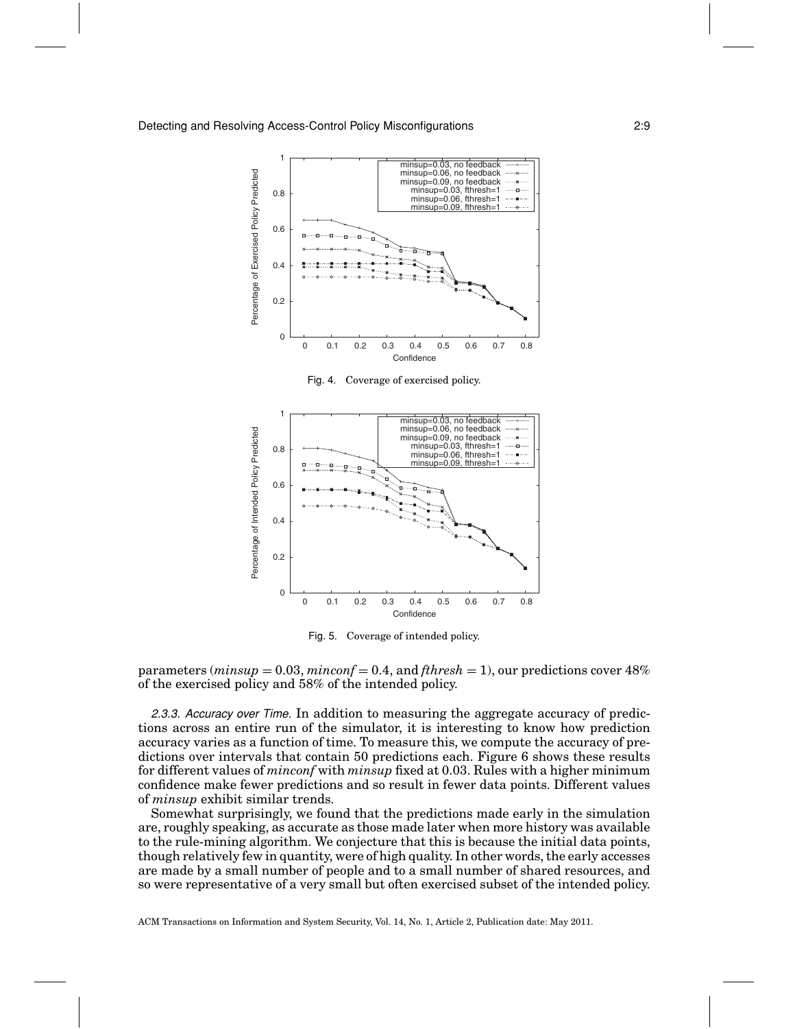

Fig. 4. Coverage of exercised policy.



Fig. 5. Coverage of intended policy.

parameters ( $minus = 0.03$ ,  $minconf = 0.4$ , and  $fitness = 1$ ), our predictions cover 48% of the exercised policy and 58% of the intended policy.

2.3.3. Accuracy over Time. In addition to measuring the aggregate accuracy of predictions across an entire run of the simulator, it is interesting to know how prediction accuracy varies as a function of time. To measure this, we compute the accuracy of predictions over intervals that contain 50 predictions each. Figure 6 shows these results for different values of *minconf* with *minsup* fixed at 0.03. Rules with a higher minimum confidence make fewer predictions and so result in fewer data points. Different values of *minsup* exhibit similar trends.

Somewhat surprisingly, we found that the predictions made early in the simulation are, roughly speaking, as accurate as those made later when more history was available to the rule-mining algorithm. We conjecture that this is because the initial data points, though relatively few in quantity, were of high quality. In other words, the early accesses are made by a small number of people and to a small number of shared resources, and so were representative of a very small but often exercised subset of the intended policy.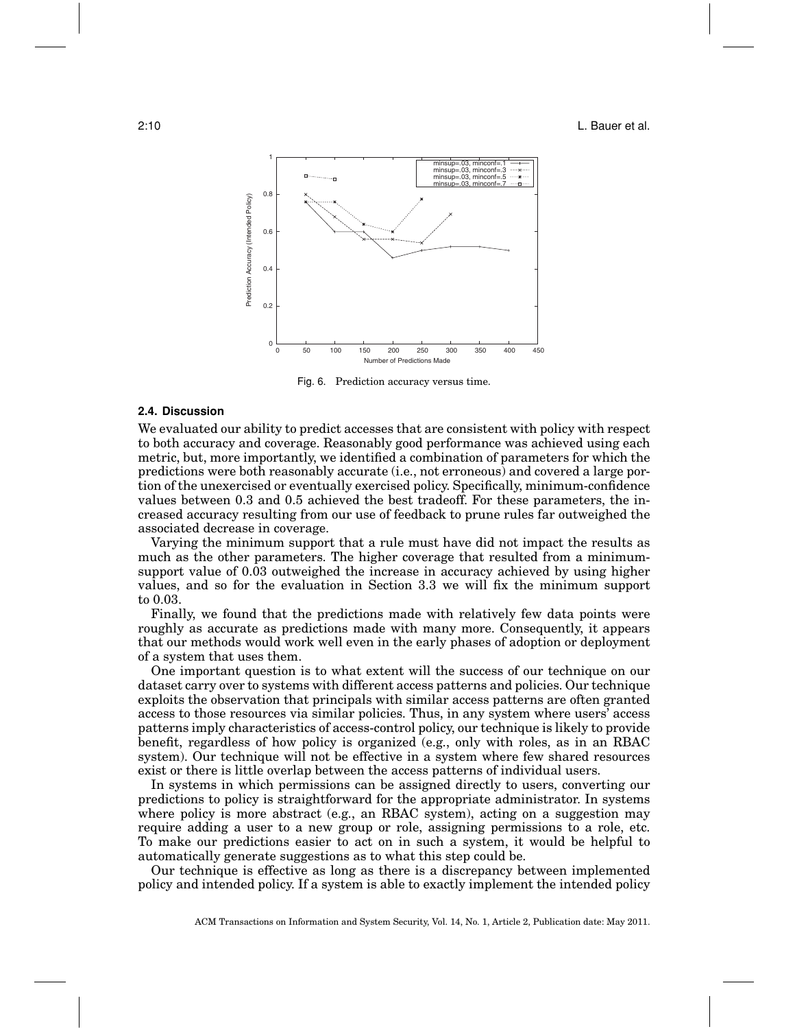## 2:10 L. Bauer et al.



Fig. 6. Prediction accuracy versus time.

## **2.4. Discussion**

We evaluated our ability to predict accesses that are consistent with policy with respect to both accuracy and coverage. Reasonably good performance was achieved using each metric, but, more importantly, we identified a combination of parameters for which the predictions were both reasonably accurate (i.e., not erroneous) and covered a large portion of the unexercised or eventually exercised policy. Specifically, minimum-confidence values between 0.3 and 0.5 achieved the best tradeoff. For these parameters, the increased accuracy resulting from our use of feedback to prune rules far outweighed the associated decrease in coverage.

Varying the minimum support that a rule must have did not impact the results as much as the other parameters. The higher coverage that resulted from a minimumsupport value of 0.03 outweighed the increase in accuracy achieved by using higher values, and so for the evaluation in Section 3.3 we will fix the minimum support to 0.03.

Finally, we found that the predictions made with relatively few data points were roughly as accurate as predictions made with many more. Consequently, it appears that our methods would work well even in the early phases of adoption or deployment of a system that uses them.

One important question is to what extent will the success of our technique on our dataset carry over to systems with different access patterns and policies. Our technique exploits the observation that principals with similar access patterns are often granted access to those resources via similar policies. Thus, in any system where users' access patterns imply characteristics of access-control policy, our technique is likely to provide benefit, regardless of how policy is organized (e.g., only with roles, as in an RBAC system). Our technique will not be effective in a system where few shared resources exist or there is little overlap between the access patterns of individual users.

In systems in which permissions can be assigned directly to users, converting our predictions to policy is straightforward for the appropriate administrator. In systems where policy is more abstract (e.g., an RBAC system), acting on a suggestion may require adding a user to a new group or role, assigning permissions to a role, etc. To make our predictions easier to act on in such a system, it would be helpful to automatically generate suggestions as to what this step could be.

Our technique is effective as long as there is a discrepancy between implemented policy and intended policy. If a system is able to exactly implement the intended policy

ACM Transactions on Information and System Security, Vol. 14, No. 1, Article 2, Publication date: May 2011.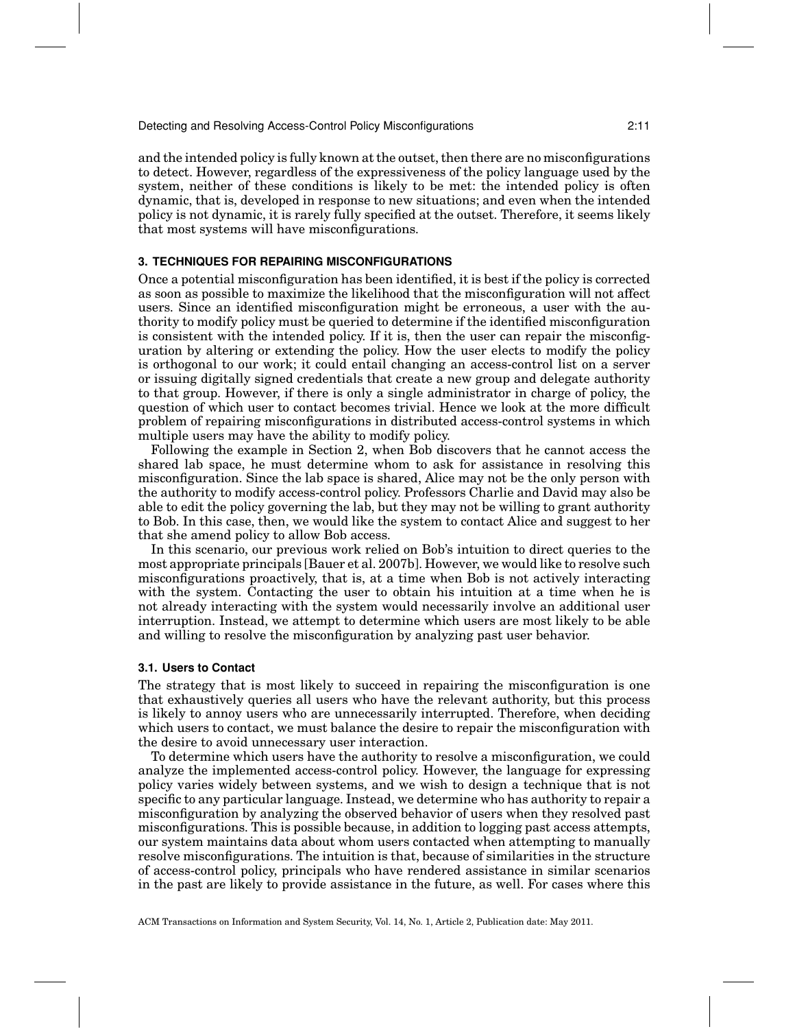and the intended policy is fully known at the outset, then there are no misconfigurations to detect. However, regardless of the expressiveness of the policy language used by the system, neither of these conditions is likely to be met: the intended policy is often dynamic, that is, developed in response to new situations; and even when the intended policy is not dynamic, it is rarely fully specified at the outset. Therefore, it seems likely that most systems will have misconfigurations.

## **3. TECHNIQUES FOR REPAIRING MISCONFIGURATIONS**

Once a potential misconfiguration has been identified, it is best if the policy is corrected as soon as possible to maximize the likelihood that the misconfiguration will not affect users. Since an identified misconfiguration might be erroneous, a user with the authority to modify policy must be queried to determine if the identified misconfiguration is consistent with the intended policy. If it is, then the user can repair the misconfiguration by altering or extending the policy. How the user elects to modify the policy is orthogonal to our work; it could entail changing an access-control list on a server or issuing digitally signed credentials that create a new group and delegate authority to that group. However, if there is only a single administrator in charge of policy, the question of which user to contact becomes trivial. Hence we look at the more difficult problem of repairing misconfigurations in distributed access-control systems in which multiple users may have the ability to modify policy.

Following the example in Section 2, when Bob discovers that he cannot access the shared lab space, he must determine whom to ask for assistance in resolving this misconfiguration. Since the lab space is shared, Alice may not be the only person with the authority to modify access-control policy. Professors Charlie and David may also be able to edit the policy governing the lab, but they may not be willing to grant authority to Bob. In this case, then, we would like the system to contact Alice and suggest to her that she amend policy to allow Bob access.

In this scenario, our previous work relied on Bob's intuition to direct queries to the most appropriate principals [Bauer et al. 2007b]. However, we would like to resolve such misconfigurations proactively, that is, at a time when Bob is not actively interacting with the system. Contacting the user to obtain his intuition at a time when he is not already interacting with the system would necessarily involve an additional user interruption. Instead, we attempt to determine which users are most likely to be able and willing to resolve the misconfiguration by analyzing past user behavior.

#### **3.1. Users to Contact**

The strategy that is most likely to succeed in repairing the misconfiguration is one that exhaustively queries all users who have the relevant authority, but this process is likely to annoy users who are unnecessarily interrupted. Therefore, when deciding which users to contact, we must balance the desire to repair the misconfiguration with the desire to avoid unnecessary user interaction.

To determine which users have the authority to resolve a misconfiguration, we could analyze the implemented access-control policy. However, the language for expressing policy varies widely between systems, and we wish to design a technique that is not specific to any particular language. Instead, we determine who has authority to repair a misconfiguration by analyzing the observed behavior of users when they resolved past misconfigurations. This is possible because, in addition to logging past access attempts, our system maintains data about whom users contacted when attempting to manually resolve misconfigurations. The intuition is that, because of similarities in the structure of access-control policy, principals who have rendered assistance in similar scenarios in the past are likely to provide assistance in the future, as well. For cases where this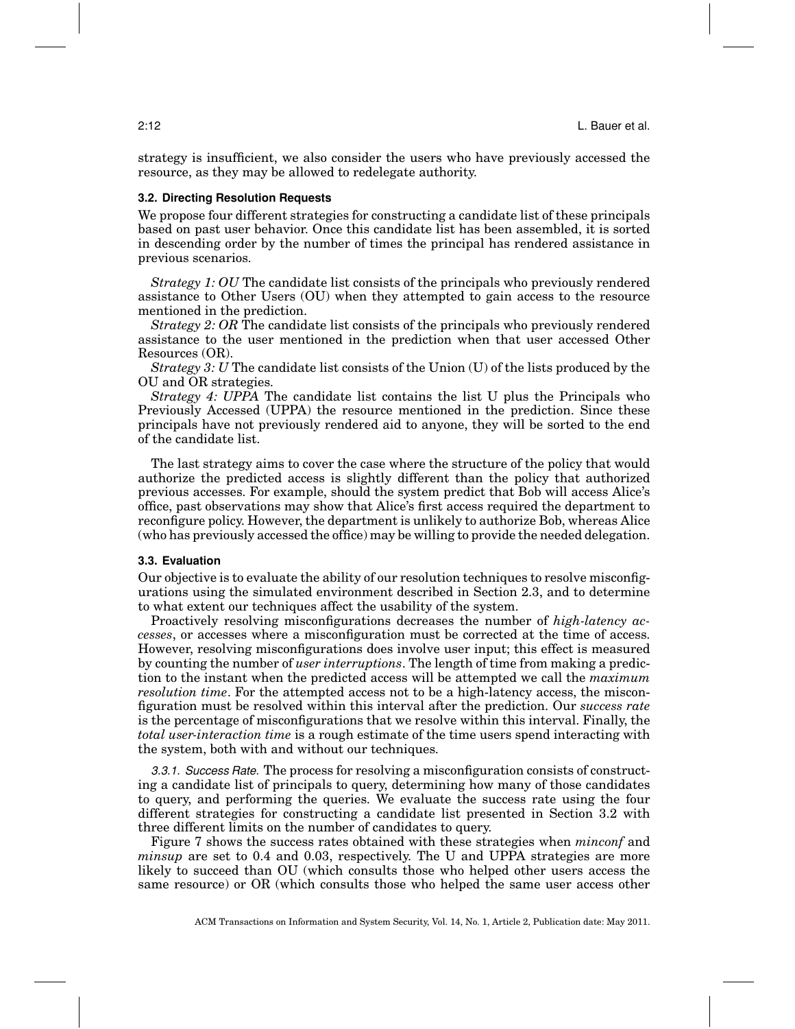strategy is insufficient, we also consider the users who have previously accessed the resource, as they may be allowed to redelegate authority.

## **3.2. Directing Resolution Requests**

We propose four different strategies for constructing a candidate list of these principals based on past user behavior. Once this candidate list has been assembled, it is sorted in descending order by the number of times the principal has rendered assistance in previous scenarios.

*Strategy 1: OU* The candidate list consists of the principals who previously rendered assistance to Other Users (OU) when they attempted to gain access to the resource mentioned in the prediction.

*Strategy 2: OR* The candidate list consists of the principals who previously rendered assistance to the user mentioned in the prediction when that user accessed Other Resources (OR).

*Strategy 3: U* The candidate list consists of the Union (U) of the lists produced by the OU and OR strategies.

*Strategy 4: UPPA* The candidate list contains the list U plus the Principals who Previously Accessed (UPPA) the resource mentioned in the prediction. Since these principals have not previously rendered aid to anyone, they will be sorted to the end of the candidate list.

The last strategy aims to cover the case where the structure of the policy that would authorize the predicted access is slightly different than the policy that authorized previous accesses. For example, should the system predict that Bob will access Alice's office, past observations may show that Alice's first access required the department to reconfigure policy. However, the department is unlikely to authorize Bob, whereas Alice (who has previously accessed the office) may be willing to provide the needed delegation.

## **3.3. Evaluation**

Our objective is to evaluate the ability of our resolution techniques to resolve misconfigurations using the simulated environment described in Section 2.3, and to determine to what extent our techniques affect the usability of the system.

Proactively resolving misconfigurations decreases the number of *high-latency accesses*, or accesses where a misconfiguration must be corrected at the time of access. However, resolving misconfigurations does involve user input; this effect is measured by counting the number of *user interruptions*. The length of time from making a prediction to the instant when the predicted access will be attempted we call the *maximum resolution time*. For the attempted access not to be a high-latency access, the misconfiguration must be resolved within this interval after the prediction. Our *success rate* is the percentage of misconfigurations that we resolve within this interval. Finally, the *total user-interaction time* is a rough estimate of the time users spend interacting with the system, both with and without our techniques.

3.3.1. Success Rate. The process for resolving a misconfiguration consists of constructing a candidate list of principals to query, determining how many of those candidates to query, and performing the queries. We evaluate the success rate using the four different strategies for constructing a candidate list presented in Section 3.2 with three different limits on the number of candidates to query.

Figure 7 shows the success rates obtained with these strategies when *minconf* and *minsup* are set to 0.4 and 0.03, respectively. The U and UPPA strategies are more likely to succeed than OU (which consults those who helped other users access the same resource) or OR (which consults those who helped the same user access other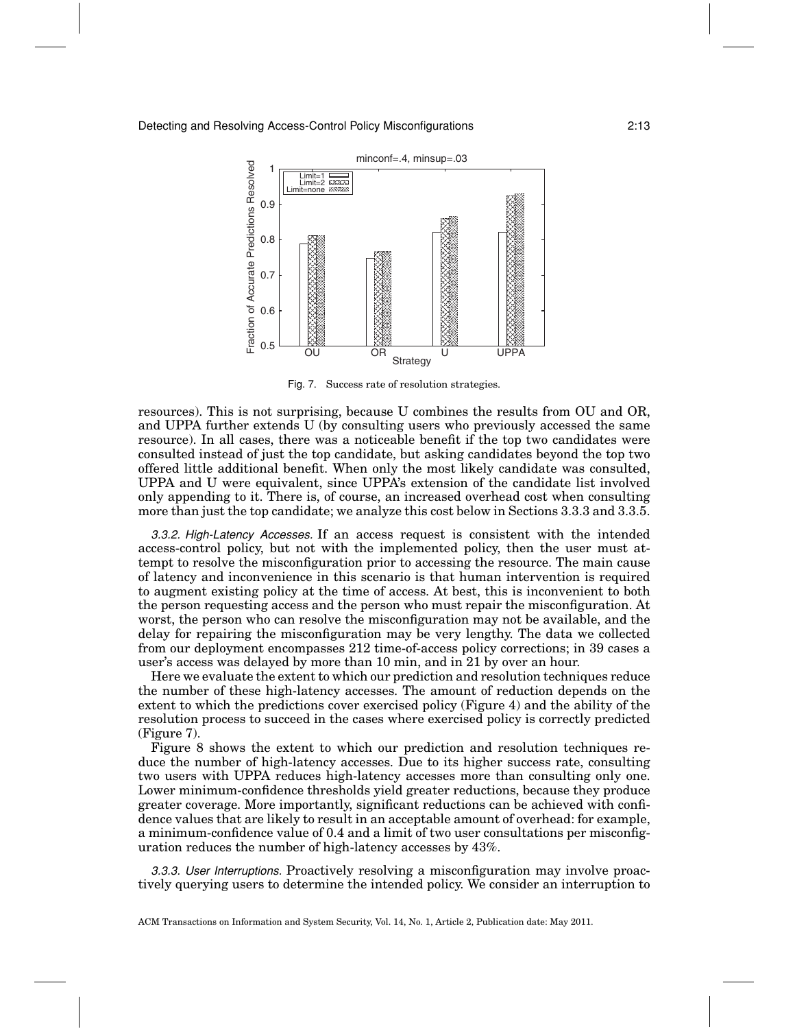

Fig. 7. Success rate of resolution strategies.

resources). This is not surprising, because U combines the results from OU and OR, and UPPA further extends U (by consulting users who previously accessed the same resource). In all cases, there was a noticeable benefit if the top two candidates were consulted instead of just the top candidate, but asking candidates beyond the top two offered little additional benefit. When only the most likely candidate was consulted, UPPA and U were equivalent, since UPPA's extension of the candidate list involved only appending to it. There is, of course, an increased overhead cost when consulting more than just the top candidate; we analyze this cost below in Sections 3.3.3 and 3.3.5.

3.3.2. High-Latency Accesses. If an access request is consistent with the intended access-control policy, but not with the implemented policy, then the user must attempt to resolve the misconfiguration prior to accessing the resource. The main cause of latency and inconvenience in this scenario is that human intervention is required to augment existing policy at the time of access. At best, this is inconvenient to both the person requesting access and the person who must repair the misconfiguration. At worst, the person who can resolve the misconfiguration may not be available, and the delay for repairing the misconfiguration may be very lengthy. The data we collected from our deployment encompasses 212 time-of-access policy corrections; in 39 cases a user's access was delayed by more than 10 min, and in 21 by over an hour.

Here we evaluate the extent to which our prediction and resolution techniques reduce the number of these high-latency accesses. The amount of reduction depends on the extent to which the predictions cover exercised policy (Figure 4) and the ability of the resolution process to succeed in the cases where exercised policy is correctly predicted (Figure 7).

Figure 8 shows the extent to which our prediction and resolution techniques reduce the number of high-latency accesses. Due to its higher success rate, consulting two users with UPPA reduces high-latency accesses more than consulting only one. Lower minimum-confidence thresholds yield greater reductions, because they produce greater coverage. More importantly, significant reductions can be achieved with confidence values that are likely to result in an acceptable amount of overhead: for example, a minimum-confidence value of 0.4 and a limit of two user consultations per misconfiguration reduces the number of high-latency accesses by 43%.

3.3.3. User Interruptions. Proactively resolving a misconfiguration may involve proactively querying users to determine the intended policy. We consider an interruption to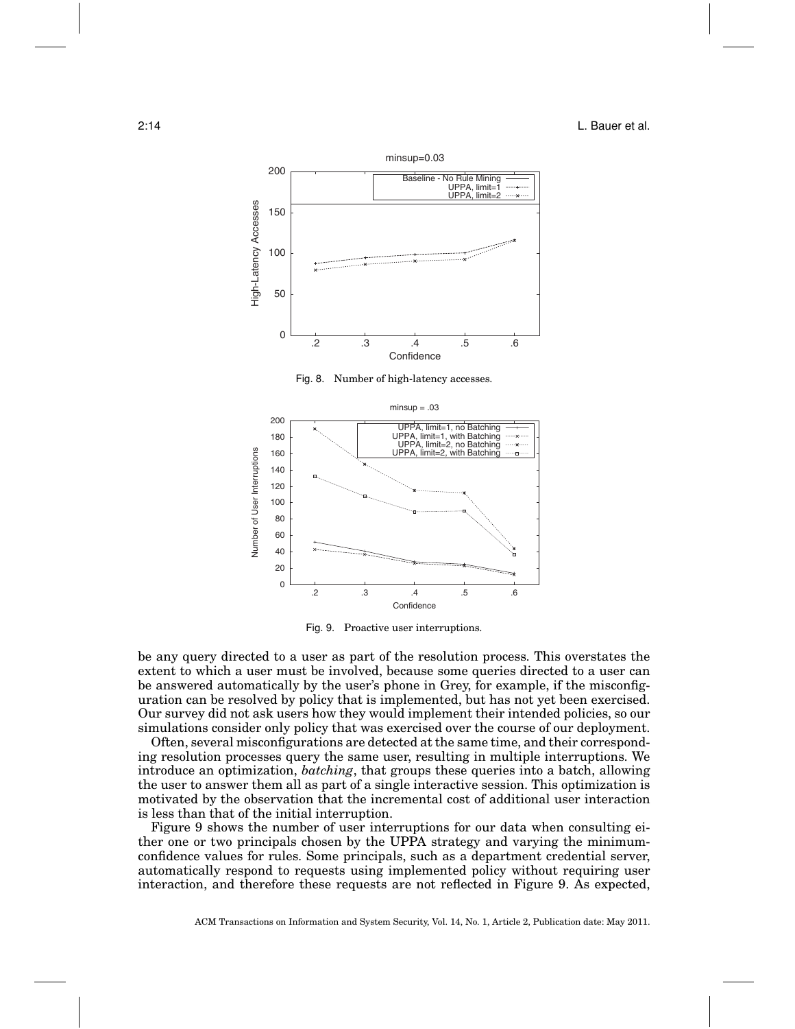## 2:14 L. Bauer et al.



Fig. 8. Number of high-latency accesses.



Fig. 9. Proactive user interruptions.

be any query directed to a user as part of the resolution process. This overstates the extent to which a user must be involved, because some queries directed to a user can be answered automatically by the user's phone in Grey, for example, if the misconfiguration can be resolved by policy that is implemented, but has not yet been exercised. Our survey did not ask users how they would implement their intended policies, so our simulations consider only policy that was exercised over the course of our deployment.

Often, several misconfigurations are detected at the same time, and their corresponding resolution processes query the same user, resulting in multiple interruptions. We introduce an optimization, *batching*, that groups these queries into a batch, allowing the user to answer them all as part of a single interactive session. This optimization is motivated by the observation that the incremental cost of additional user interaction is less than that of the initial interruption.

Figure 9 shows the number of user interruptions for our data when consulting either one or two principals chosen by the UPPA strategy and varying the minimumconfidence values for rules. Some principals, such as a department credential server, automatically respond to requests using implemented policy without requiring user interaction, and therefore these requests are not reflected in Figure 9. As expected,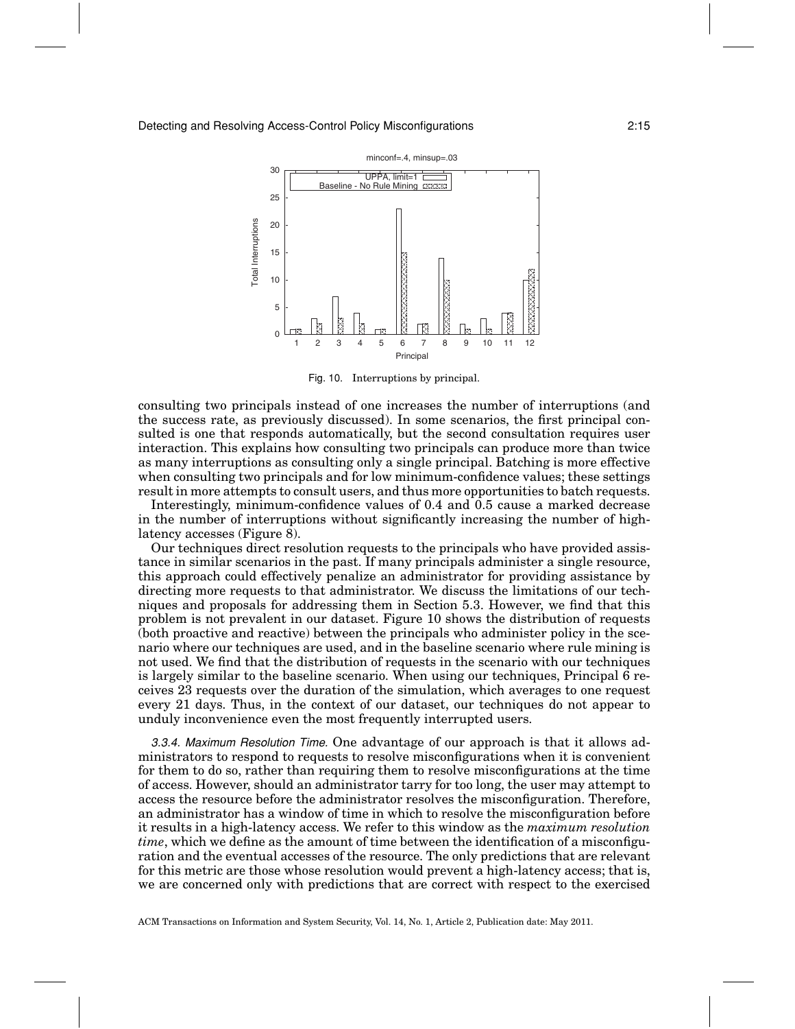

Fig. 10. Interruptions by principal.

consulting two principals instead of one increases the number of interruptions (and the success rate, as previously discussed). In some scenarios, the first principal consulted is one that responds automatically, but the second consultation requires user interaction. This explains how consulting two principals can produce more than twice as many interruptions as consulting only a single principal. Batching is more effective when consulting two principals and for low minimum-confidence values; these settings result in more attempts to consult users, and thus more opportunities to batch requests.

Interestingly, minimum-confidence values of 0.4 and 0.5 cause a marked decrease in the number of interruptions without significantly increasing the number of highlatency accesses (Figure 8).

Our techniques direct resolution requests to the principals who have provided assistance in similar scenarios in the past. If many principals administer a single resource, this approach could effectively penalize an administrator for providing assistance by directing more requests to that administrator. We discuss the limitations of our techniques and proposals for addressing them in Section 5.3. However, we find that this problem is not prevalent in our dataset. Figure 10 shows the distribution of requests (both proactive and reactive) between the principals who administer policy in the scenario where our techniques are used, and in the baseline scenario where rule mining is not used. We find that the distribution of requests in the scenario with our techniques is largely similar to the baseline scenario. When using our techniques, Principal 6 receives 23 requests over the duration of the simulation, which averages to one request every 21 days. Thus, in the context of our dataset, our techniques do not appear to unduly inconvenience even the most frequently interrupted users.

3.3.4. Maximum Resolution Time. One advantage of our approach is that it allows administrators to respond to requests to resolve misconfigurations when it is convenient for them to do so, rather than requiring them to resolve misconfigurations at the time of access. However, should an administrator tarry for too long, the user may attempt to access the resource before the administrator resolves the misconfiguration. Therefore, an administrator has a window of time in which to resolve the misconfiguration before it results in a high-latency access. We refer to this window as the *maximum resolution time*, which we define as the amount of time between the identification of a misconfiguration and the eventual accesses of the resource. The only predictions that are relevant for this metric are those whose resolution would prevent a high-latency access; that is, we are concerned only with predictions that are correct with respect to the exercised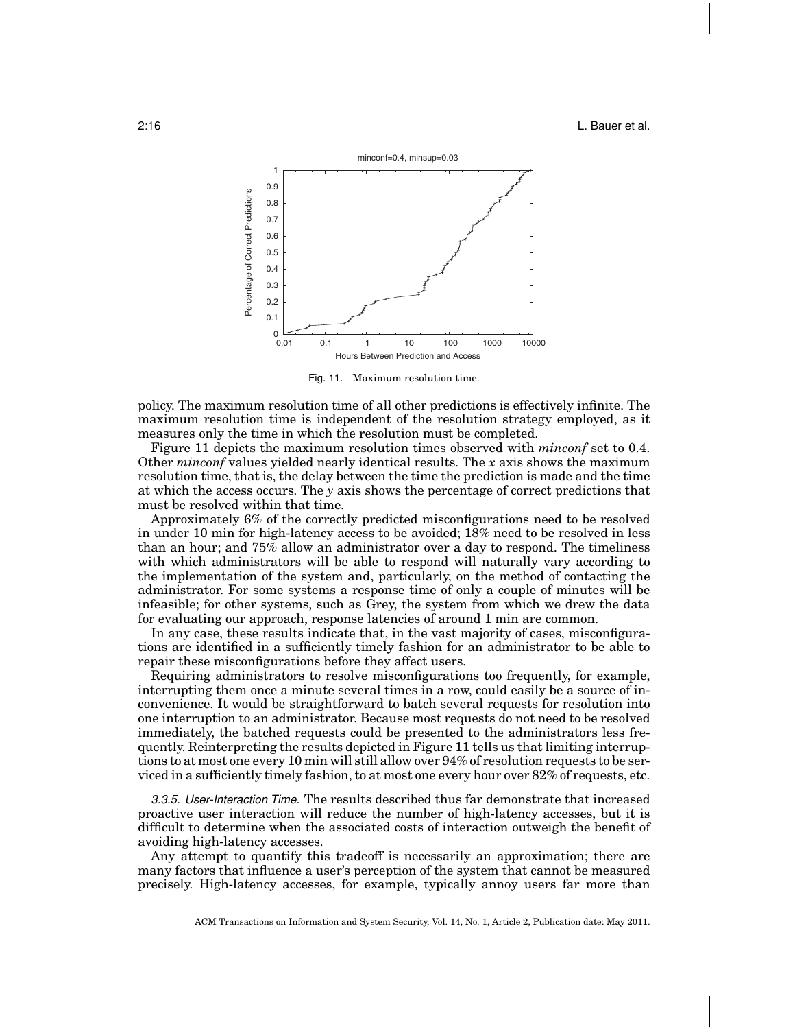## 2:16 L. Bauer et al.



Fig. 11. Maximum resolution time.

policy. The maximum resolution time of all other predictions is effectively infinite. The maximum resolution time is independent of the resolution strategy employed, as it measures only the time in which the resolution must be completed.

Figure 11 depicts the maximum resolution times observed with *minconf* set to 0.4. Other *minconf* values yielded nearly identical results. The *x* axis shows the maximum resolution time, that is, the delay between the time the prediction is made and the time at which the access occurs. The *y* axis shows the percentage of correct predictions that must be resolved within that time.

Approximately 6% of the correctly predicted misconfigurations need to be resolved in under 10 min for high-latency access to be avoided; 18% need to be resolved in less than an hour; and 75% allow an administrator over a day to respond. The timeliness with which administrators will be able to respond will naturally vary according to the implementation of the system and, particularly, on the method of contacting the administrator. For some systems a response time of only a couple of minutes will be infeasible; for other systems, such as Grey, the system from which we drew the data for evaluating our approach, response latencies of around 1 min are common.

In any case, these results indicate that, in the vast majority of cases, misconfigurations are identified in a sufficiently timely fashion for an administrator to be able to repair these misconfigurations before they affect users.

Requiring administrators to resolve misconfigurations too frequently, for example, interrupting them once a minute several times in a row, could easily be a source of inconvenience. It would be straightforward to batch several requests for resolution into one interruption to an administrator. Because most requests do not need to be resolved immediately, the batched requests could be presented to the administrators less frequently. Reinterpreting the results depicted in Figure 11 tells us that limiting interruptions to at most one every 10 min will still allow over 94% of resolution requests to be serviced in a sufficiently timely fashion, to at most one every hour over 82% of requests, etc.

3.3.5. User-Interaction Time. The results described thus far demonstrate that increased proactive user interaction will reduce the number of high-latency accesses, but it is difficult to determine when the associated costs of interaction outweigh the benefit of avoiding high-latency accesses.

Any attempt to quantify this tradeoff is necessarily an approximation; there are many factors that influence a user's perception of the system that cannot be measured precisely. High-latency accesses, for example, typically annoy users far more than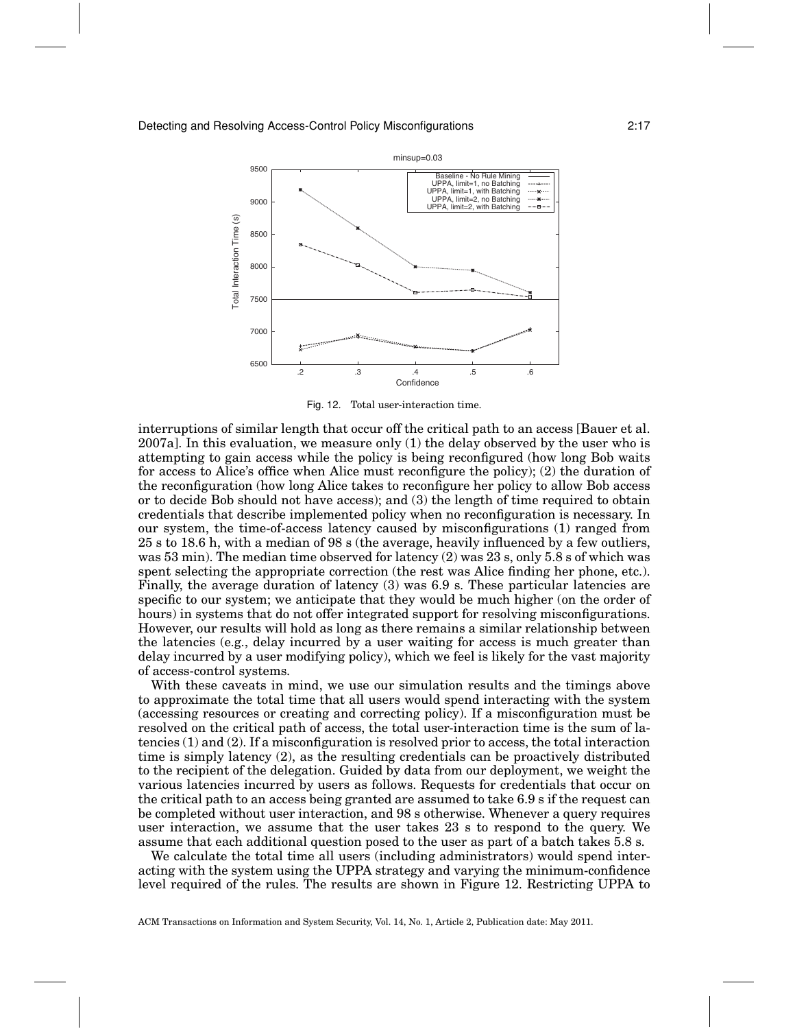

Fig. 12. Total user-interaction time.

interruptions of similar length that occur off the critical path to an access [Bauer et al. 2007a]. In this evaluation, we measure only (1) the delay observed by the user who is attempting to gain access while the policy is being reconfigured (how long Bob waits for access to Alice's office when Alice must reconfigure the policy); (2) the duration of the reconfiguration (how long Alice takes to reconfigure her policy to allow Bob access or to decide Bob should not have access); and (3) the length of time required to obtain credentials that describe implemented policy when no reconfiguration is necessary. In our system, the time-of-access latency caused by misconfigurations (1) ranged from 25 s to 18.6 h, with a median of 98 s (the average, heavily influenced by a few outliers, was 53 min). The median time observed for latency (2) was 23 s, only 5.8 s of which was spent selecting the appropriate correction (the rest was Alice finding her phone, etc.). Finally, the average duration of latency (3) was 6.9 s. These particular latencies are specific to our system; we anticipate that they would be much higher (on the order of hours) in systems that do not offer integrated support for resolving misconfigurations. However, our results will hold as long as there remains a similar relationship between the latencies (e.g., delay incurred by a user waiting for access is much greater than delay incurred by a user modifying policy), which we feel is likely for the vast majority of access-control systems.

With these caveats in mind, we use our simulation results and the timings above to approximate the total time that all users would spend interacting with the system (accessing resources or creating and correcting policy). If a misconfiguration must be resolved on the critical path of access, the total user-interaction time is the sum of latencies (1) and (2). If a misconfiguration is resolved prior to access, the total interaction time is simply latency (2), as the resulting credentials can be proactively distributed to the recipient of the delegation. Guided by data from our deployment, we weight the various latencies incurred by users as follows. Requests for credentials that occur on the critical path to an access being granted are assumed to take 6.9 s if the request can be completed without user interaction, and 98 s otherwise. Whenever a query requires user interaction, we assume that the user takes 23 s to respond to the query. We assume that each additional question posed to the user as part of a batch takes 5.8 s.

We calculate the total time all users (including administrators) would spend interacting with the system using the UPPA strategy and varying the minimum-confidence level required of the rules. The results are shown in Figure 12. Restricting UPPA to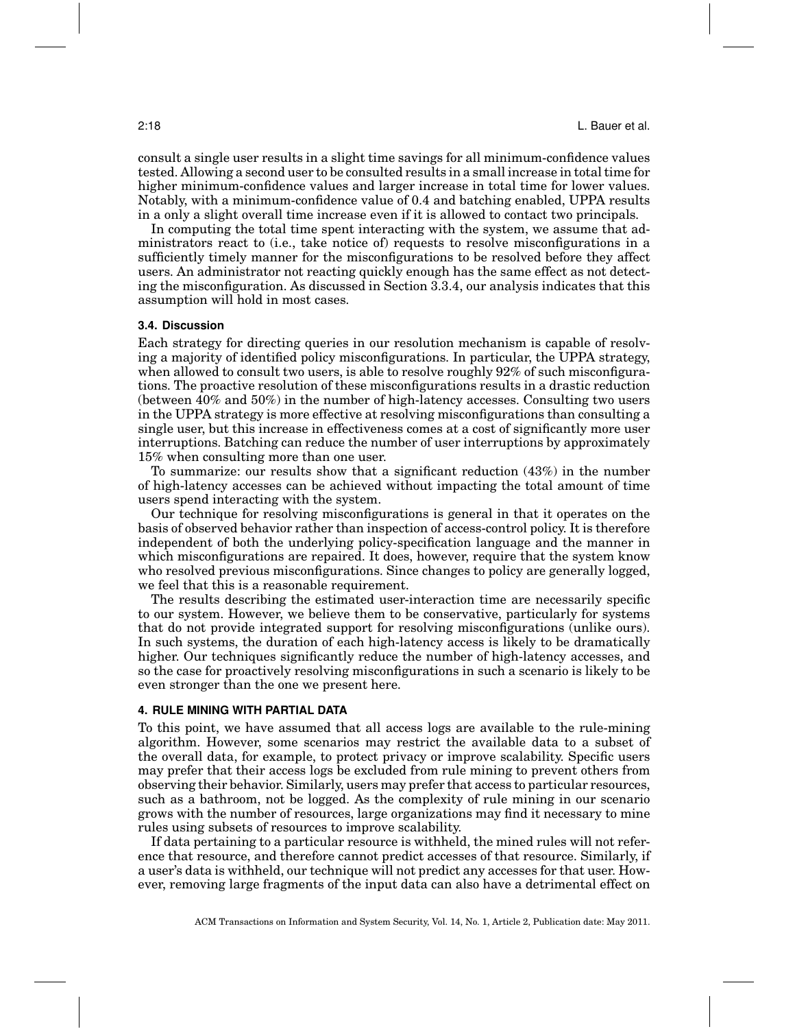2:18 L. Bauer et al.

consult a single user results in a slight time savings for all minimum-confidence values tested. Allowing a second user to be consulted results in a small increase in total time for higher minimum-confidence values and larger increase in total time for lower values. Notably, with a minimum-confidence value of 0.4 and batching enabled, UPPA results in a only a slight overall time increase even if it is allowed to contact two principals.

In computing the total time spent interacting with the system, we assume that administrators react to (i.e., take notice of) requests to resolve misconfigurations in a sufficiently timely manner for the misconfigurations to be resolved before they affect users. An administrator not reacting quickly enough has the same effect as not detecting the misconfiguration. As discussed in Section 3.3.4, our analysis indicates that this assumption will hold in most cases.

## **3.4. Discussion**

Each strategy for directing queries in our resolution mechanism is capable of resolving a majority of identified policy misconfigurations. In particular, the UPPA strategy, when allowed to consult two users, is able to resolve roughly 92% of such misconfigurations. The proactive resolution of these misconfigurations results in a drastic reduction (between 40% and 50%) in the number of high-latency accesses. Consulting two users in the UPPA strategy is more effective at resolving misconfigurations than consulting a single user, but this increase in effectiveness comes at a cost of significantly more user interruptions. Batching can reduce the number of user interruptions by approximately 15% when consulting more than one user.

To summarize: our results show that a significant reduction (43%) in the number of high-latency accesses can be achieved without impacting the total amount of time users spend interacting with the system.

Our technique for resolving misconfigurations is general in that it operates on the basis of observed behavior rather than inspection of access-control policy. It is therefore independent of both the underlying policy-specification language and the manner in which misconfigurations are repaired. It does, however, require that the system know who resolved previous misconfigurations. Since changes to policy are generally logged, we feel that this is a reasonable requirement.

The results describing the estimated user-interaction time are necessarily specific to our system. However, we believe them to be conservative, particularly for systems that do not provide integrated support for resolving misconfigurations (unlike ours). In such systems, the duration of each high-latency access is likely to be dramatically higher. Our techniques significantly reduce the number of high-latency accesses, and so the case for proactively resolving misconfigurations in such a scenario is likely to be even stronger than the one we present here.

### **4. RULE MINING WITH PARTIAL DATA**

To this point, we have assumed that all access logs are available to the rule-mining algorithm. However, some scenarios may restrict the available data to a subset of the overall data, for example, to protect privacy or improve scalability. Specific users may prefer that their access logs be excluded from rule mining to prevent others from observing their behavior. Similarly, users may prefer that access to particular resources, such as a bathroom, not be logged. As the complexity of rule mining in our scenario grows with the number of resources, large organizations may find it necessary to mine rules using subsets of resources to improve scalability.

If data pertaining to a particular resource is withheld, the mined rules will not reference that resource, and therefore cannot predict accesses of that resource. Similarly, if a user's data is withheld, our technique will not predict any accesses for that user. However, removing large fragments of the input data can also have a detrimental effect on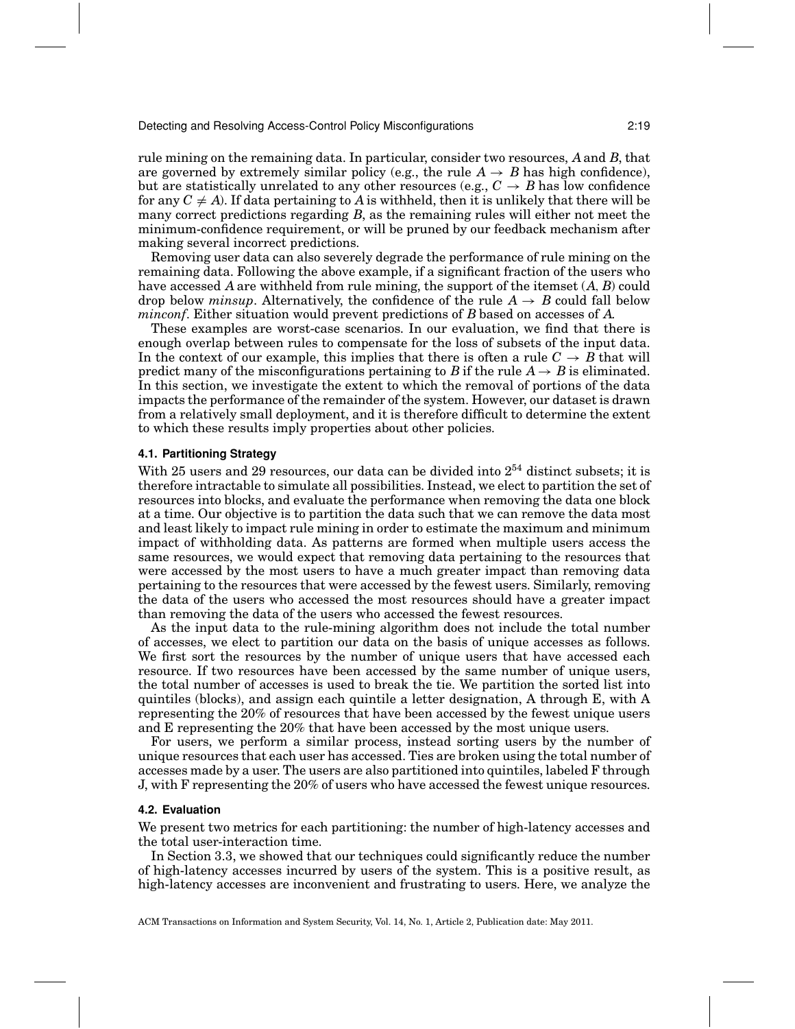rule mining on the remaining data. In particular, consider two resources, *A*and *B*, that are governed by extremely similar policy (e.g., the rule  $A \rightarrow B$  has high confidence), but are statistically unrelated to any other resources (e.g.,  $C \rightarrow B$  has low confidence for any  $C \neq A$ ). If data pertaining to A is withheld, then it is unlikely that there will be many correct predictions regarding *B*, as the remaining rules will either not meet the minimum-confidence requirement, or will be pruned by our feedback mechanism after making several incorrect predictions.

Removing user data can also severely degrade the performance of rule mining on the remaining data. Following the above example, if a significant fraction of the users who have accessed *A* are withheld from rule mining, the support of the itemset (*A*, *B*) could drop below *minsup*. Alternatively, the confidence of the rule  $A \rightarrow B$  could fall below *minconf*. Either situation would prevent predictions of *B* based on accesses of *A*.

These examples are worst-case scenarios. In our evaluation, we find that there is enough overlap between rules to compensate for the loss of subsets of the input data. In the context of our example, this implies that there is often a rule  $C \rightarrow B$  that will predict many of the misconfigurations pertaining to *B* if the rule  $A \rightarrow B$  is eliminated. In this section, we investigate the extent to which the removal of portions of the data impacts the performance of the remainder of the system. However, our dataset is drawn from a relatively small deployment, and it is therefore difficult to determine the extent to which these results imply properties about other policies.

## **4.1. Partitioning Strategy**

With 25 users and 29 resources, our data can be divided into  $2^{54}$  distinct subsets; it is therefore intractable to simulate all possibilities. Instead, we elect to partition the set of resources into blocks, and evaluate the performance when removing the data one block at a time. Our objective is to partition the data such that we can remove the data most and least likely to impact rule mining in order to estimate the maximum and minimum impact of withholding data. As patterns are formed when multiple users access the same resources, we would expect that removing data pertaining to the resources that were accessed by the most users to have a much greater impact than removing data pertaining to the resources that were accessed by the fewest users. Similarly, removing the data of the users who accessed the most resources should have a greater impact than removing the data of the users who accessed the fewest resources.

As the input data to the rule-mining algorithm does not include the total number of accesses, we elect to partition our data on the basis of unique accesses as follows. We first sort the resources by the number of unique users that have accessed each resource. If two resources have been accessed by the same number of unique users, the total number of accesses is used to break the tie. We partition the sorted list into quintiles (blocks), and assign each quintile a letter designation, A through E, with A representing the 20% of resources that have been accessed by the fewest unique users and E representing the 20% that have been accessed by the most unique users.

For users, we perform a similar process, instead sorting users by the number of unique resources that each user has accessed. Ties are broken using the total number of accesses made by a user. The users are also partitioned into quintiles, labeled F through J, with F representing the 20% of users who have accessed the fewest unique resources.

#### **4.2. Evaluation**

We present two metrics for each partitioning: the number of high-latency accesses and the total user-interaction time.

In Section 3.3, we showed that our techniques could significantly reduce the number of high-latency accesses incurred by users of the system. This is a positive result, as high-latency accesses are inconvenient and frustrating to users. Here, we analyze the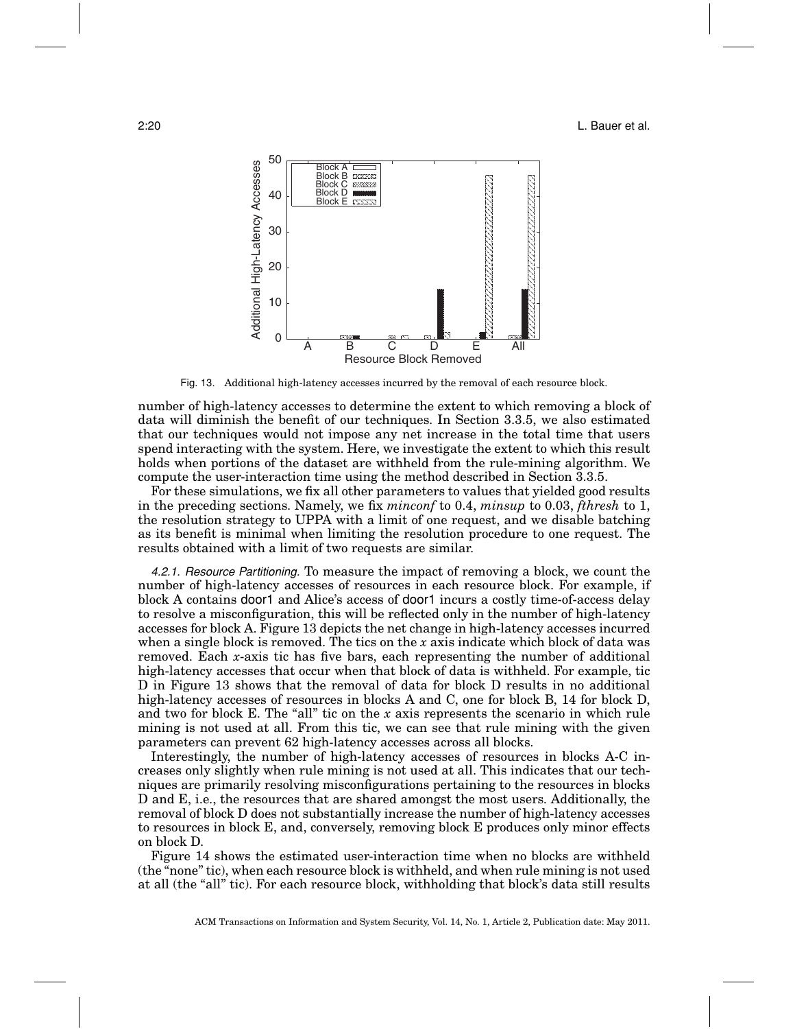2:20 L. Bauer et al.



Fig. 13. Additional high-latency accesses incurred by the removal of each resource block.

number of high-latency accesses to determine the extent to which removing a block of data will diminish the benefit of our techniques. In Section 3.3.5, we also estimated that our techniques would not impose any net increase in the total time that users spend interacting with the system. Here, we investigate the extent to which this result holds when portions of the dataset are withheld from the rule-mining algorithm. We compute the user-interaction time using the method described in Section 3.3.5.

For these simulations, we fix all other parameters to values that yielded good results in the preceding sections. Namely, we fix *minconf* to 0.4, *minsup* to 0.03, *fthresh* to 1, the resolution strategy to UPPA with a limit of one request, and we disable batching as its benefit is minimal when limiting the resolution procedure to one request. The results obtained with a limit of two requests are similar.

4.2.1. Resource Partitioning. To measure the impact of removing a block, we count the number of high-latency accesses of resources in each resource block. For example, if block A contains door1 and Alice's access of door1 incurs a costly time-of-access delay to resolve a misconfiguration, this will be reflected only in the number of high-latency accesses for block A. Figure 13 depicts the net change in high-latency accesses incurred when a single block is removed. The tics on the *x* axis indicate which block of data was removed. Each *x*-axis tic has five bars, each representing the number of additional high-latency accesses that occur when that block of data is withheld. For example, tic D in Figure 13 shows that the removal of data for block D results in no additional high-latency accesses of resources in blocks A and C, one for block B, 14 for block D, and two for block E. The "all" tic on the *x* axis represents the scenario in which rule mining is not used at all. From this tic, we can see that rule mining with the given parameters can prevent 62 high-latency accesses across all blocks.

Interestingly, the number of high-latency accesses of resources in blocks A-C increases only slightly when rule mining is not used at all. This indicates that our techniques are primarily resolving misconfigurations pertaining to the resources in blocks D and E, i.e., the resources that are shared amongst the most users. Additionally, the removal of block D does not substantially increase the number of high-latency accesses to resources in block E, and, conversely, removing block E produces only minor effects on block D.

Figure 14 shows the estimated user-interaction time when no blocks are withheld (the "none" tic), when each resource block is withheld, and when rule mining is not used at all (the "all" tic). For each resource block, withholding that block's data still results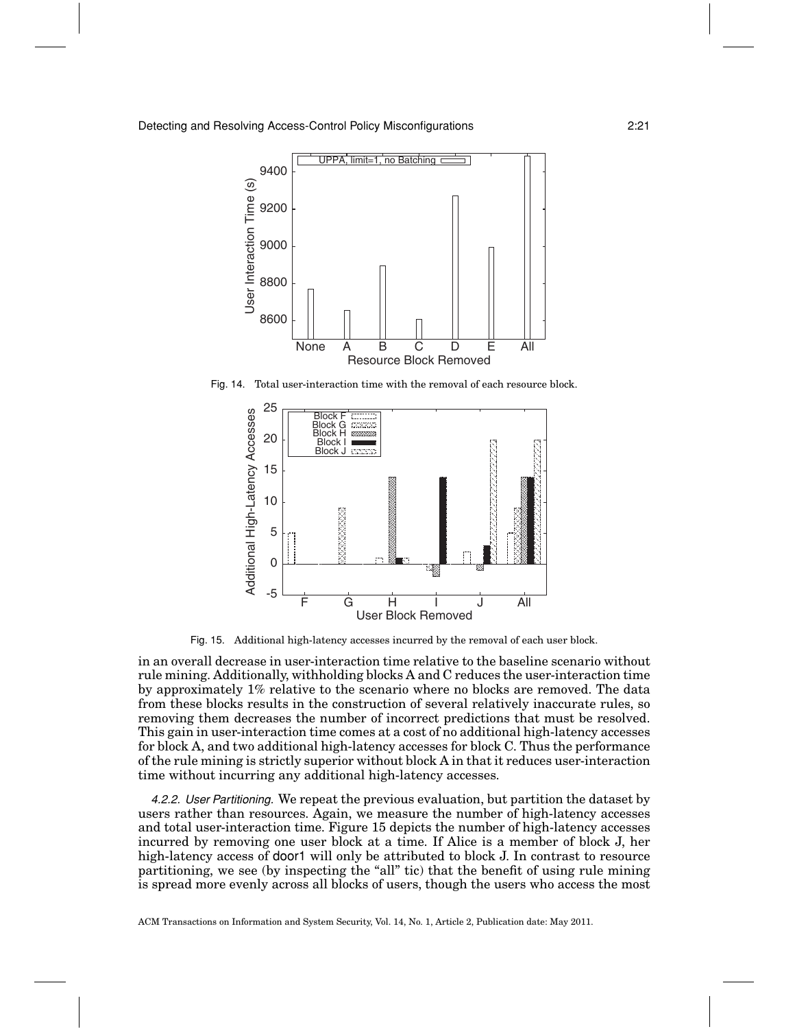

Fig. 14. Total user-interaction time with the removal of each resource block.



Fig. 15. Additional high-latency accesses incurred by the removal of each user block.

in an overall decrease in user-interaction time relative to the baseline scenario without rule mining. Additionally, withholding blocks A and C reduces the user-interaction time by approximately 1% relative to the scenario where no blocks are removed. The data from these blocks results in the construction of several relatively inaccurate rules, so removing them decreases the number of incorrect predictions that must be resolved. This gain in user-interaction time comes at a cost of no additional high-latency accesses for block A, and two additional high-latency accesses for block C. Thus the performance of the rule mining is strictly superior without block A in that it reduces user-interaction time without incurring any additional high-latency accesses.

4.2.2. User Partitioning. We repeat the previous evaluation, but partition the dataset by users rather than resources. Again, we measure the number of high-latency accesses and total user-interaction time. Figure 15 depicts the number of high-latency accesses incurred by removing one user block at a time. If Alice is a member of block J, her high-latency access of door1 will only be attributed to block J. In contrast to resource partitioning, we see (by inspecting the "all" tic) that the benefit of using rule mining is spread more evenly across all blocks of users, though the users who access the most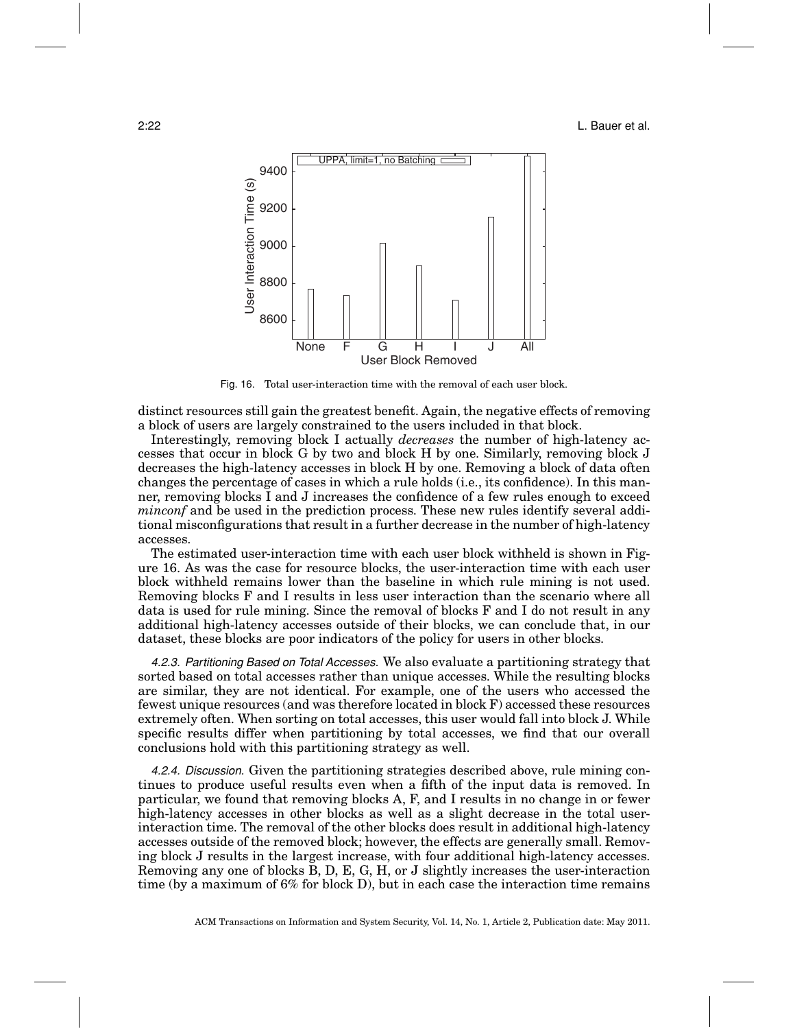

Fig. 16. Total user-interaction time with the removal of each user block.

distinct resources still gain the greatest benefit. Again, the negative effects of removing a block of users are largely constrained to the users included in that block.

Interestingly, removing block I actually *decreases* the number of high-latency accesses that occur in block G by two and block H by one. Similarly, removing block J decreases the high-latency accesses in block H by one. Removing a block of data often changes the percentage of cases in which a rule holds (i.e., its confidence). In this manner, removing blocks I and J increases the confidence of a few rules enough to exceed *minconf* and be used in the prediction process. These new rules identify several additional misconfigurations that result in a further decrease in the number of high-latency accesses.

The estimated user-interaction time with each user block withheld is shown in Figure 16. As was the case for resource blocks, the user-interaction time with each user block withheld remains lower than the baseline in which rule mining is not used. Removing blocks F and I results in less user interaction than the scenario where all data is used for rule mining. Since the removal of blocks F and I do not result in any additional high-latency accesses outside of their blocks, we can conclude that, in our dataset, these blocks are poor indicators of the policy for users in other blocks.

4.2.3. Partitioning Based on Total Accesses. We also evaluate a partitioning strategy that sorted based on total accesses rather than unique accesses. While the resulting blocks are similar, they are not identical. For example, one of the users who accessed the fewest unique resources (and was therefore located in block F) accessed these resources extremely often. When sorting on total accesses, this user would fall into block J. While specific results differ when partitioning by total accesses, we find that our overall conclusions hold with this partitioning strategy as well.

4.2.4. Discussion. Given the partitioning strategies described above, rule mining continues to produce useful results even when a fifth of the input data is removed. In particular, we found that removing blocks A, F, and I results in no change in or fewer high-latency accesses in other blocks as well as a slight decrease in the total userinteraction time. The removal of the other blocks does result in additional high-latency accesses outside of the removed block; however, the effects are generally small. Removing block J results in the largest increase, with four additional high-latency accesses. Removing any one of blocks B, D, E, G, H, or J slightly increases the user-interaction time (by a maximum of 6% for block D), but in each case the interaction time remains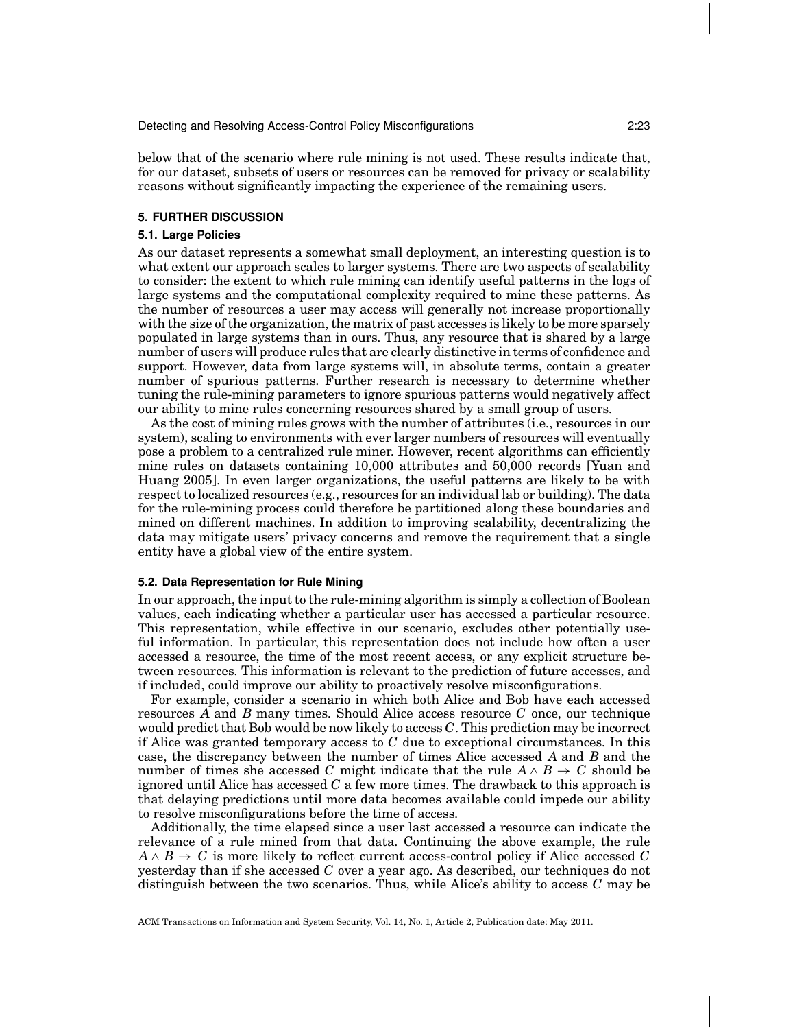below that of the scenario where rule mining is not used. These results indicate that, for our dataset, subsets of users or resources can be removed for privacy or scalability reasons without significantly impacting the experience of the remaining users.

## **5. FURTHER DISCUSSION**

### **5.1. Large Policies**

As our dataset represents a somewhat small deployment, an interesting question is to what extent our approach scales to larger systems. There are two aspects of scalability to consider: the extent to which rule mining can identify useful patterns in the logs of large systems and the computational complexity required to mine these patterns. As the number of resources a user may access will generally not increase proportionally with the size of the organization, the matrix of past accesses is likely to be more sparsely populated in large systems than in ours. Thus, any resource that is shared by a large number of users will produce rules that are clearly distinctive in terms of confidence and support. However, data from large systems will, in absolute terms, contain a greater number of spurious patterns. Further research is necessary to determine whether tuning the rule-mining parameters to ignore spurious patterns would negatively affect our ability to mine rules concerning resources shared by a small group of users.

As the cost of mining rules grows with the number of attributes (i.e., resources in our system), scaling to environments with ever larger numbers of resources will eventually pose a problem to a centralized rule miner. However, recent algorithms can efficiently mine rules on datasets containing 10,000 attributes and 50,000 records [Yuan and Huang 2005]. In even larger organizations, the useful patterns are likely to be with respect to localized resources (e.g., resources for an individual lab or building). The data for the rule-mining process could therefore be partitioned along these boundaries and mined on different machines. In addition to improving scalability, decentralizing the data may mitigate users' privacy concerns and remove the requirement that a single entity have a global view of the entire system.

## **5.2. Data Representation for Rule Mining**

In our approach, the input to the rule-mining algorithm is simply a collection of Boolean values, each indicating whether a particular user has accessed a particular resource. This representation, while effective in our scenario, excludes other potentially useful information. In particular, this representation does not include how often a user accessed a resource, the time of the most recent access, or any explicit structure between resources. This information is relevant to the prediction of future accesses, and if included, could improve our ability to proactively resolve misconfigurations.

For example, consider a scenario in which both Alice and Bob have each accessed resources *A* and *B* many times. Should Alice access resource *C* once, our technique would predict that Bob would be now likely to access *C*. This prediction may be incorrect if Alice was granted temporary access to *C* due to exceptional circumstances. In this case, the discrepancy between the number of times Alice accessed *A* and *B* and the number of times she accessed *C* might indicate that the rule  $A \wedge B \rightarrow C$  should be ignored until Alice has accessed *C* a few more times. The drawback to this approach is that delaying predictions until more data becomes available could impede our ability to resolve misconfigurations before the time of access.

Additionally, the time elapsed since a user last accessed a resource can indicate the relevance of a rule mined from that data. Continuing the above example, the rule  $A \wedge B \to C$  is more likely to reflect current access-control policy if Alice accessed *C* yesterday than if she accessed *C* over a year ago. As described, our techniques do not distinguish between the two scenarios. Thus, while Alice's ability to access *C* may be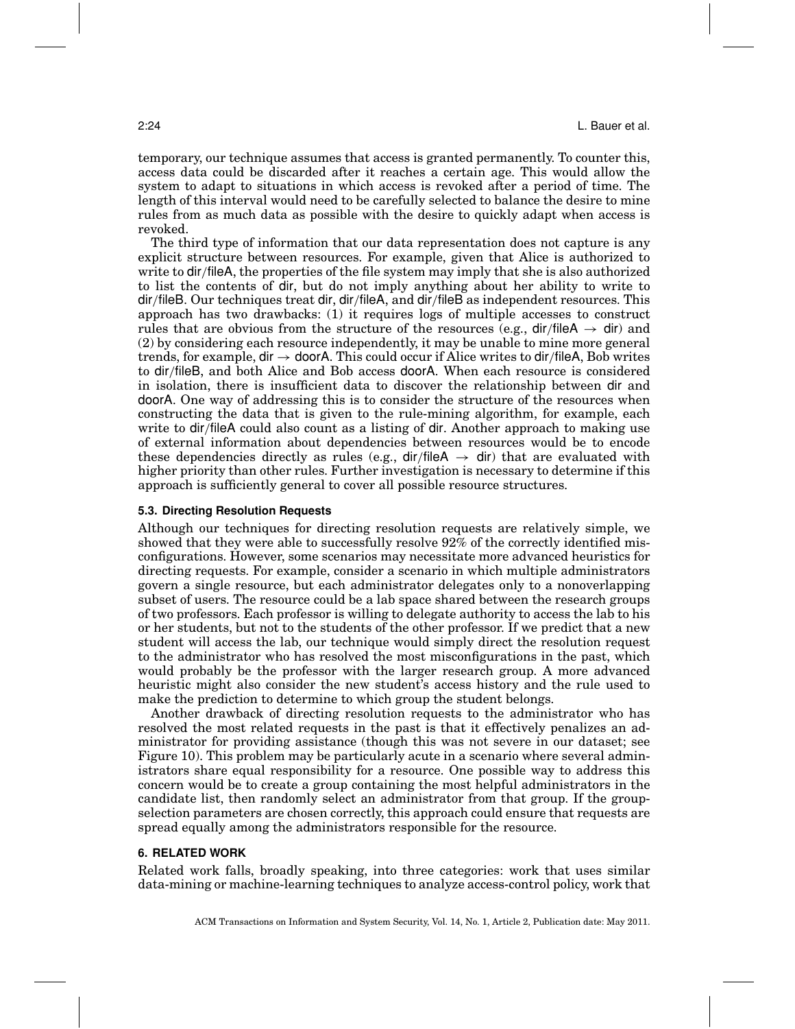temporary, our technique assumes that access is granted permanently. To counter this, access data could be discarded after it reaches a certain age. This would allow the system to adapt to situations in which access is revoked after a period of time. The length of this interval would need to be carefully selected to balance the desire to mine rules from as much data as possible with the desire to quickly adapt when access is revoked.

The third type of information that our data representation does not capture is any explicit structure between resources. For example, given that Alice is authorized to write to dir/fileA, the properties of the file system may imply that she is also authorized to list the contents of dir, but do not imply anything about her ability to write to dir/fileB. Our techniques treat dir, dir/fileA, and dir/fileB as independent resources. This approach has two drawbacks: (1) it requires logs of multiple accesses to construct rules that are obvious from the structure of the resources (e.g., dir/file A  $\rightarrow$  dir) and (2) by considering each resource independently, it may be unable to mine more general trends, for example, dir  $\rightarrow$  doorA. This could occur if Alice writes to dir/fileA, Bob writes to dir/fileB, and both Alice and Bob access doorA. When each resource is considered in isolation, there is insufficient data to discover the relationship between dir and doorA. One way of addressing this is to consider the structure of the resources when constructing the data that is given to the rule-mining algorithm, for example, each write to dir/fileA could also count as a listing of dir. Another approach to making use of external information about dependencies between resources would be to encode these dependencies directly as rules (e.g., dir/fileA  $\rightarrow$  dir) that are evaluated with higher priority than other rules. Further investigation is necessary to determine if this approach is sufficiently general to cover all possible resource structures.

#### **5.3. Directing Resolution Requests**

Although our techniques for directing resolution requests are relatively simple, we showed that they were able to successfully resolve 92% of the correctly identified misconfigurations. However, some scenarios may necessitate more advanced heuristics for directing requests. For example, consider a scenario in which multiple administrators govern a single resource, but each administrator delegates only to a nonoverlapping subset of users. The resource could be a lab space shared between the research groups of two professors. Each professor is willing to delegate authority to access the lab to his or her students, but not to the students of the other professor. If we predict that a new student will access the lab, our technique would simply direct the resolution request to the administrator who has resolved the most misconfigurations in the past, which would probably be the professor with the larger research group. A more advanced heuristic might also consider the new student's access history and the rule used to make the prediction to determine to which group the student belongs.

Another drawback of directing resolution requests to the administrator who has resolved the most related requests in the past is that it effectively penalizes an administrator for providing assistance (though this was not severe in our dataset; see Figure 10). This problem may be particularly acute in a scenario where several administrators share equal responsibility for a resource. One possible way to address this concern would be to create a group containing the most helpful administrators in the candidate list, then randomly select an administrator from that group. If the groupselection parameters are chosen correctly, this approach could ensure that requests are spread equally among the administrators responsible for the resource.

## **6. RELATED WORK**

Related work falls, broadly speaking, into three categories: work that uses similar data-mining or machine-learning techniques to analyze access-control policy, work that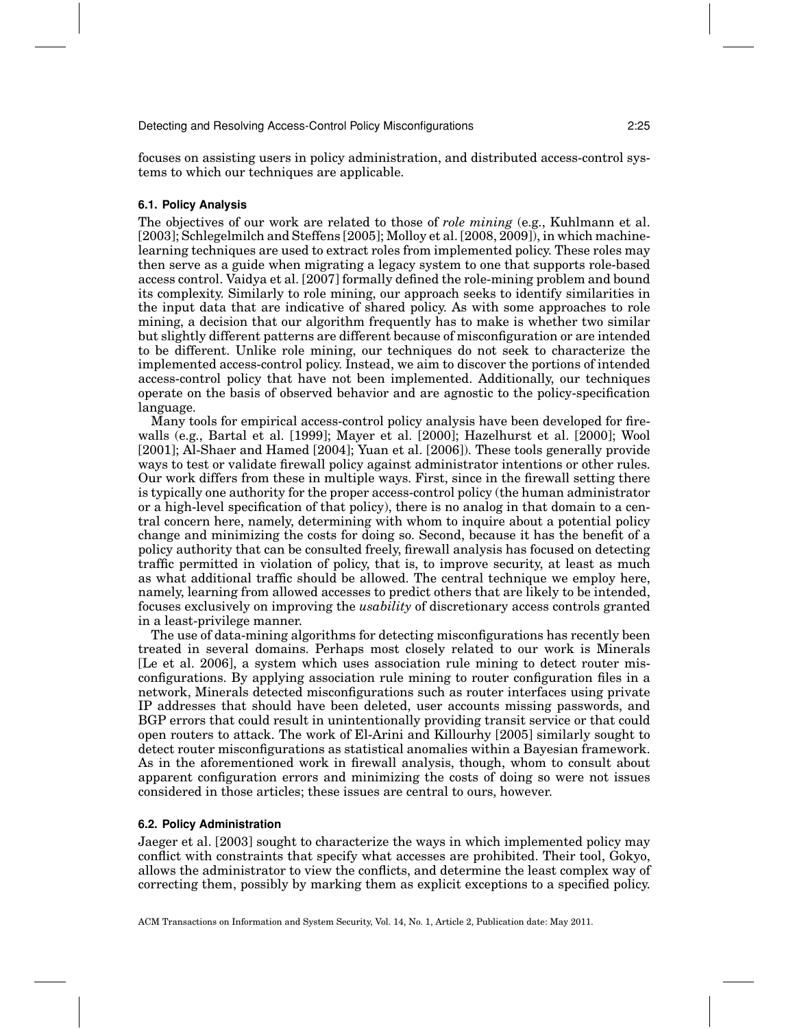focuses on assisting users in policy administration, and distributed access-control systems to which our techniques are applicable.

### **6.1. Policy Analysis**

The objectives of our work are related to those of *role mining* (e.g., Kuhlmann et al. [2003]; Schlegelmilch and Steffens [2005]; Molloy et al. [2008, 2009]), in which machinelearning techniques are used to extract roles from implemented policy. These roles may then serve as a guide when migrating a legacy system to one that supports role-based access control. Vaidya et al. [2007] formally defined the role-mining problem and bound its complexity. Similarly to role mining, our approach seeks to identify similarities in the input data that are indicative of shared policy. As with some approaches to role mining, a decision that our algorithm frequently has to make is whether two similar but slightly different patterns are different because of misconfiguration or are intended to be different. Unlike role mining, our techniques do not seek to characterize the implemented access-control policy. Instead, we aim to discover the portions of intended access-control policy that have not been implemented. Additionally, our techniques operate on the basis of observed behavior and are agnostic to the policy-specification language.

Many tools for empirical access-control policy analysis have been developed for firewalls (e.g., Bartal et al. [1999]; Mayer et al. [2000]; Hazelhurst et al. [2000]; Wool [2001]; Al-Shaer and Hamed [2004]; Yuan et al. [2006]). These tools generally provide ways to test or validate firewall policy against administrator intentions or other rules. Our work differs from these in multiple ways. First, since in the firewall setting there is typically one authority for the proper access-control policy (the human administrator or a high-level specification of that policy), there is no analog in that domain to a central concern here, namely, determining with whom to inquire about a potential policy change and minimizing the costs for doing so. Second, because it has the benefit of a policy authority that can be consulted freely, firewall analysis has focused on detecting traffic permitted in violation of policy, that is, to improve security, at least as much as what additional traffic should be allowed. The central technique we employ here, namely, learning from allowed accesses to predict others that are likely to be intended, focuses exclusively on improving the *usability* of discretionary access controls granted in a least-privilege manner.

The use of data-mining algorithms for detecting misconfigurations has recently been treated in several domains. Perhaps most closely related to our work is Minerals [Le et al. 2006], a system which uses association rule mining to detect router misconfigurations. By applying association rule mining to router configuration files in a network, Minerals detected misconfigurations such as router interfaces using private IP addresses that should have been deleted, user accounts missing passwords, and BGP errors that could result in unintentionally providing transit service or that could open routers to attack. The work of El-Arini and Killourhy [2005] similarly sought to detect router misconfigurations as statistical anomalies within a Bayesian framework. As in the aforementioned work in firewall analysis, though, whom to consult about apparent configuration errors and minimizing the costs of doing so were not issues considered in those articles; these issues are central to ours, however.

## **6.2. Policy Administration**

Jaeger et al. [2003] sought to characterize the ways in which implemented policy may conflict with constraints that specify what accesses are prohibited. Their tool, Gokyo, allows the administrator to view the conflicts, and determine the least complex way of correcting them, possibly by marking them as explicit exceptions to a specified policy.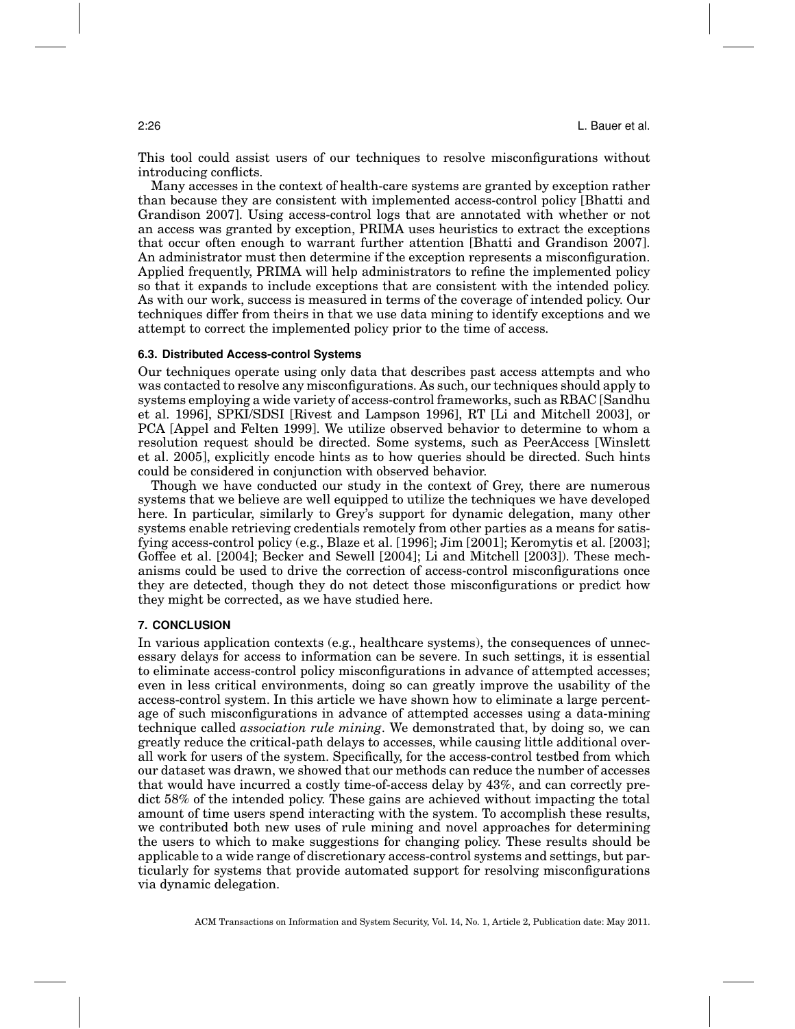This tool could assist users of our techniques to resolve misconfigurations without introducing conflicts.

Many accesses in the context of health-care systems are granted by exception rather than because they are consistent with implemented access-control policy [Bhatti and Grandison 2007]. Using access-control logs that are annotated with whether or not an access was granted by exception, PRIMA uses heuristics to extract the exceptions that occur often enough to warrant further attention [Bhatti and Grandison 2007]. An administrator must then determine if the exception represents a misconfiguration. Applied frequently, PRIMA will help administrators to refine the implemented policy so that it expands to include exceptions that are consistent with the intended policy. As with our work, success is measured in terms of the coverage of intended policy. Our techniques differ from theirs in that we use data mining to identify exceptions and we attempt to correct the implemented policy prior to the time of access.

#### **6.3. Distributed Access-control Systems**

Our techniques operate using only data that describes past access attempts and who was contacted to resolve any misconfigurations. As such, our techniques should apply to systems employing a wide variety of access-control frameworks, such as RBAC [Sandhu et al. 1996], SPKI/SDSI [Rivest and Lampson 1996], RT [Li and Mitchell 2003], or PCA [Appel and Felten 1999]. We utilize observed behavior to determine to whom a resolution request should be directed. Some systems, such as PeerAccess [Winslett et al. 2005], explicitly encode hints as to how queries should be directed. Such hints could be considered in conjunction with observed behavior.

Though we have conducted our study in the context of Grey, there are numerous systems that we believe are well equipped to utilize the techniques we have developed here. In particular, similarly to Grey's support for dynamic delegation, many other systems enable retrieving credentials remotely from other parties as a means for satisfying access-control policy (e.g., Blaze et al. [1996]; Jim [2001]; Keromytis et al. [2003]; Goffee et al. [2004]; Becker and Sewell [2004]; Li and Mitchell [2003]). These mechanisms could be used to drive the correction of access-control misconfigurations once they are detected, though they do not detect those misconfigurations or predict how they might be corrected, as we have studied here.

## **7. CONCLUSION**

In various application contexts (e.g., healthcare systems), the consequences of unnecessary delays for access to information can be severe. In such settings, it is essential to eliminate access-control policy misconfigurations in advance of attempted accesses; even in less critical environments, doing so can greatly improve the usability of the access-control system. In this article we have shown how to eliminate a large percentage of such misconfigurations in advance of attempted accesses using a data-mining technique called *association rule mining*. We demonstrated that, by doing so, we can greatly reduce the critical-path delays to accesses, while causing little additional overall work for users of the system. Specifically, for the access-control testbed from which our dataset was drawn, we showed that our methods can reduce the number of accesses that would have incurred a costly time-of-access delay by 43%, and can correctly predict 58% of the intended policy. These gains are achieved without impacting the total amount of time users spend interacting with the system. To accomplish these results, we contributed both new uses of rule mining and novel approaches for determining the users to which to make suggestions for changing policy. These results should be applicable to a wide range of discretionary access-control systems and settings, but particularly for systems that provide automated support for resolving misconfigurations via dynamic delegation.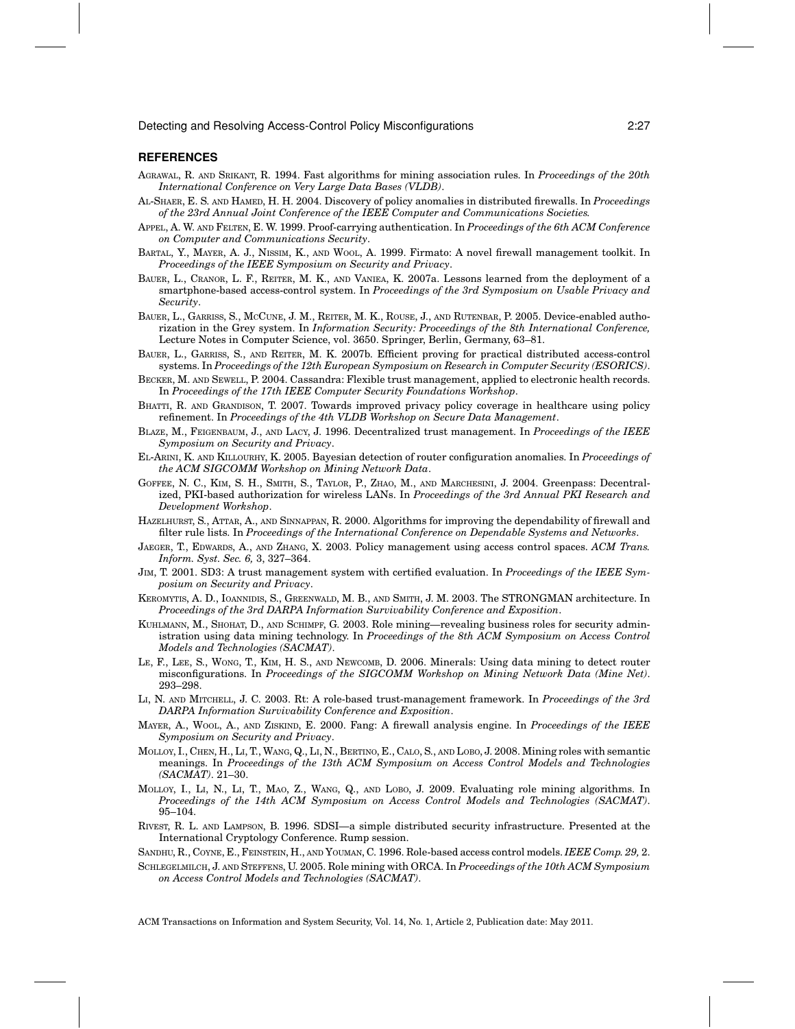## **REFERENCES**

- AGRAWAL, R. AND SRIKANT, R. 1994. Fast algorithms for mining association rules. In *Proceedings of the 20th International Conference on Very Large Data Bases (VLDB)*.
- AL-SHAER, E. S. AND HAMED, H. H. 2004. Discovery of policy anomalies in distributed firewalls. In *Proceedings of the 23rd Annual Joint Conference of the IEEE Computer and Communications Societies.*
- APPEL, A. W. AND FELTEN, E. W. 1999. Proof-carrying authentication. In *Proceedings of the 6th ACM Conference on Computer and Communications Security*.
- BARTAL, Y., MAYER, A. J., NISSIM, K., AND WOOL, A. 1999. Firmato: A novel firewall management toolkit. In *Proceedings of the IEEE Symposium on Security and Privacy*.
- BAUER, L., CRANOR, L. F., REITER, M. K., AND VANIEA, K. 2007a. Lessons learned from the deployment of a smartphone-based access-control system. In *Proceedings of the 3rd Symposium on Usable Privacy and Security*.
- BAUER, L., GARRISS, S., MCCUNE, J. M., REITER, M. K., ROUSE, J., AND RUTENBAR, P. 2005. Device-enabled authorization in the Grey system. In *Information Security: Proceedings of the 8th International Conference,* Lecture Notes in Computer Science, vol. 3650. Springer, Berlin, Germany, 63–81.
- BAUER, L., GARRISS, S., AND REITER, M. K. 2007b. Efficient proving for practical distributed access-control systems. In *Proceedings of the 12th European Symposium on Research in Computer Security (ESORICS)*.
- BECKER, M. AND SEWELL, P. 2004. Cassandra: Flexible trust management, applied to electronic health records. In *Proceedings of the 17th IEEE Computer Security Foundations Workshop*.
- BHATTI, R. AND GRANDISON, T. 2007. Towards improved privacy policy coverage in healthcare using policy refinement. In *Proceedings of the 4th VLDB Workshop on Secure Data Management*.
- BLAZE, M., FEIGENBAUM, J., AND LACY, J. 1996. Decentralized trust management. In *Proceedings of the IEEE Symposium on Security and Privacy*.
- EL-ARINI, K. AND KILLOURHY, K. 2005. Bayesian detection of router configuration anomalies. In *Proceedings of the ACM SIGCOMM Workshop on Mining Network Data*.
- GOFFEE, N. C., KIM, S. H., SMITH, S., TAYLOR, P., ZHAO, M., AND MARCHESINI, J. 2004. Greenpass: Decentralized, PKI-based authorization for wireless LANs. In *Proceedings of the 3rd Annual PKI Research and Development Workshop*.
- HAZELHURST, S., ATTAR, A., AND SINNAPPAN, R. 2000. Algorithms for improving the dependability of firewall and filter rule lists. In *Proceedings of the International Conference on Dependable Systems and Networks*.
- JAEGER, T., EDWARDS, A., AND ZHANG, X. 2003. Policy management using access control spaces. *ACM Trans. Inform. Syst. Sec. 6,* 3, 327–364.
- JIM, T. 2001. SD3: A trust management system with certified evaluation. In *Proceedings of the IEEE Symposium on Security and Privacy*.
- KEROMYTIS, A. D., IOANNIDIS, S., GREENWALD, M. B., AND SMITH, J. M. 2003. The STRONGMAN architecture. In *Proceedings of the 3rd DARPA Information Survivability Conference and Exposition*.
- KUHLMANN, M., SHOHAT, D., AND SCHIMPF, G. 2003. Role mining—revealing business roles for security administration using data mining technology. In *Proceedings of the 8th ACM Symposium on Access Control Models and Technologies (SACMAT)*.
- LE, F., LEE, S., WONG, T., KIM, H. S., AND NEWCOMB, D. 2006. Minerals: Using data mining to detect router misconfigurations. In *Proceedings of the SIGCOMM Workshop on Mining Network Data (Mine Net)*. 293–298.
- LI, N. AND MITCHELL, J. C. 2003. Rt: A role-based trust-management framework. In *Proceedings of the 3rd DARPA Information Survivability Conference and Exposition*.
- MAYER, A., WOOL, A., AND ZISKIND, E. 2000. Fang: A firewall analysis engine. In *Proceedings of the IEEE Symposium on Security and Privacy*.
- MOLLOY, I., CHEN, H., LI, T., WANG, Q., LI, N., BERTINO, E., CALO, S., AND LOBO, J. 2008. Mining roles with semantic meanings. In *Proceedings of the 13th ACM Symposium on Access Control Models and Technologies (SACMAT)*. 21–30.
- MOLLOY, I., LI, N., LI, T., MAO, Z., WANG, Q., AND LOBO, J. 2009. Evaluating role mining algorithms. In *Proceedings of the 14th ACM Symposium on Access Control Models and Technologies (SACMAT)*. 95–104.
- RIVEST, R. L. AND LAMPSON, B. 1996. SDSI—a simple distributed security infrastructure. Presented at the International Cryptology Conference. Rump session.
- SANDHU, R., COYNE, E., FEINSTEIN, H., AND YOUMAN, C. 1996. Role-based access control models. *IEEE Comp. 29,* 2.
- SCHLEGELMILCH, J. AND STEFFENS, U. 2005. Role mining with ORCA. In *Proceedings of the 10th ACM Symposium on Access Control Models and Technologies (SACMAT)*.